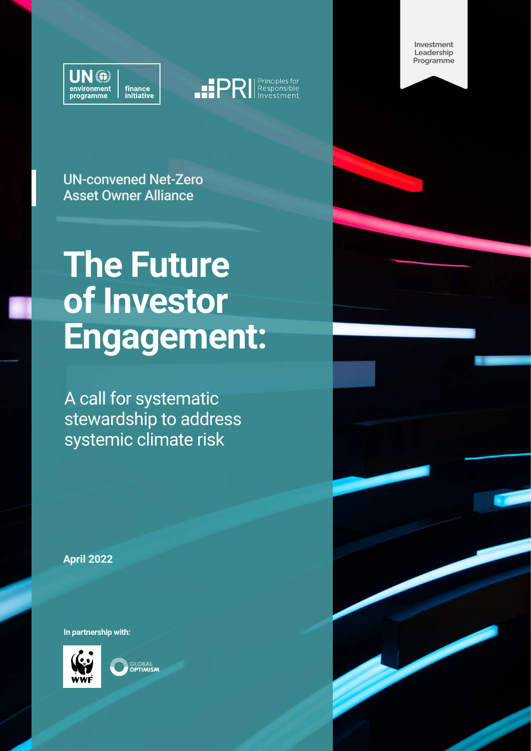



**Investment Leadership Programme**

UN-convened Net-Zero Asset Owner Alliance

## **The Future of Investor Engagement:**

A call for systematic stewardship to address systemic climate risk

**April 2022**

**In partnership with:**



**GLOBAL**<br>**OPTIMISM** 

The Future of Investor Engagement 1 and 1 and 1 and 1 and 1 and 1 and 1 and 1 and 1 and 1 and 1 and 1 and 1 and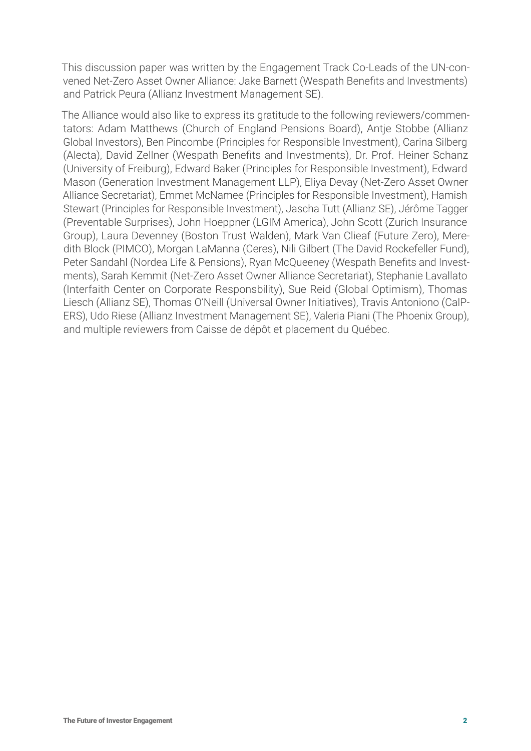This discussion paper was written by the Engagement Track Co-Leads of the UN-convened Net-Zero Asset Owner Alliance: Jake Barnett (Wespath Benefits and Investments) and Patrick Peura (Allianz Investment Management SE).

The Alliance would also like to express its gratitude to the following reviewers/commentators: Adam Matthews (Church of England Pensions Board), Antje Stobbe (Allianz Global Investors), Ben Pincombe (Principles for Responsible Investment), Carina Silberg (Alecta), David Zellner (Wespath Benefits and Investments), Dr. Prof. Heiner Schanz (University of Freiburg), Edward Baker (Principles for Responsible Investment), Edward Mason (Generation Investment Management LLP), Eliya Devay (Net-Zero Asset Owner Alliance Secretariat), Emmet McNamee (Principles for Responsible Investment), Hamish Stewart (Principles for Responsible Investment), Jascha Tutt (Allianz SE), Jérôme Tagger (Preventable Surprises), John Hoeppner (LGIM America), John Scott (Zurich Insurance Group), Laura Devenney (Boston Trust Walden), Mark Van Clieaf (Future Zero), Meredith Block (PIMCO), Morgan LaManna (Ceres), Nili Gilbert (The David Rockefeller Fund), Peter Sandahl (Nordea Life & Pensions), Ryan McQueeney (Wespath Benefits and Investments), Sarah Kemmit (Net-Zero Asset Owner Alliance Secretariat), Stephanie Lavallato (Interfaith Center on Corporate Responsbility), Sue Reid (Global Optimism), Thomas Liesch (Allianz SE), Thomas O'Neill (Universal Owner Initiatives), Travis Antoniono (CalP-ERS), Udo Riese (Allianz Investment Management SE), Valeria Piani (The Phoenix Group), and multiple reviewers from Caisse de dépôt et placement du Québec.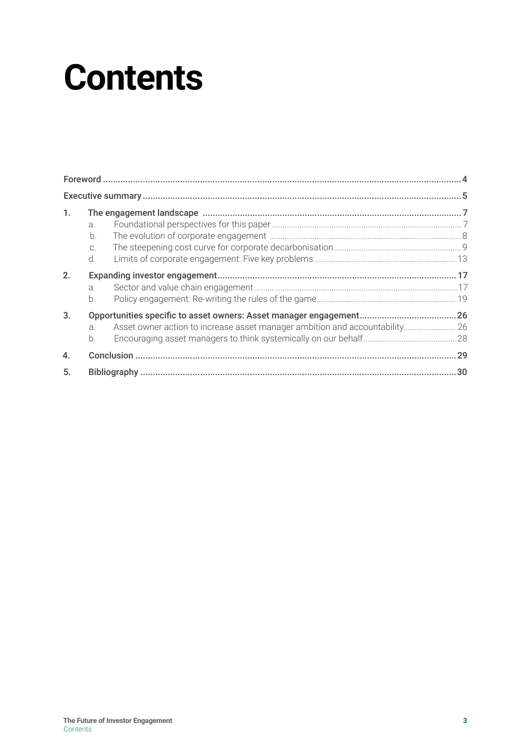## **Contents**

| 1.               |       |                                                                            |  |
|------------------|-------|----------------------------------------------------------------------------|--|
|                  | a.    |                                                                            |  |
|                  | b.    |                                                                            |  |
|                  | C.    |                                                                            |  |
|                  | $d$ . |                                                                            |  |
| 2.               |       |                                                                            |  |
|                  | a.    |                                                                            |  |
|                  | $b$ . |                                                                            |  |
| 3.               |       |                                                                            |  |
|                  | a.    | Asset owner action to increase asset manager ambition and accountability26 |  |
|                  | h     |                                                                            |  |
| $\overline{4}$ . |       |                                                                            |  |
| 5.               |       |                                                                            |  |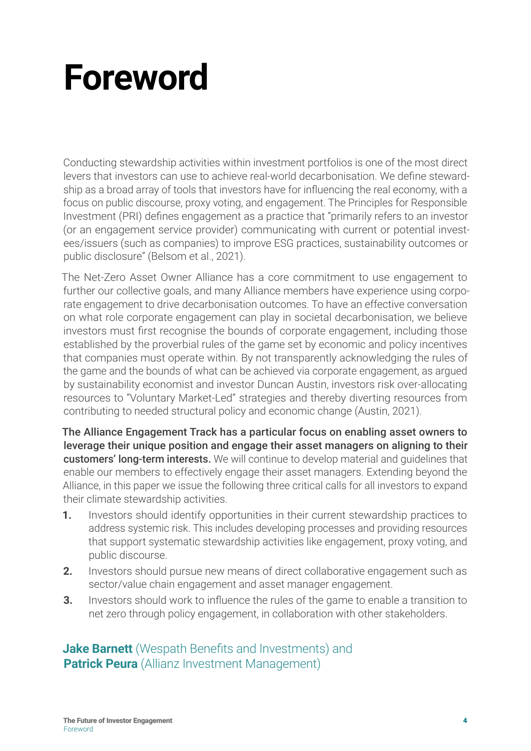## <span id="page-3-0"></span>**Foreword**

Conducting stewardship activities within investment portfolios is one of the most direct levers that investors can use to achieve real-world decarbonisation. We define stewardship as a broad array of tools that investors have for influencing the real economy, with a focus on public discourse, proxy voting, and engagement. The Principles for Responsible Investment (PRI) defines engagement as a practice that "primarily refers to an investor (or an engagement service provider) communicating with current or potential investees/issuers (such as companies) to improve ESG practices, sustainability outcomes or public disclosure" (Belsom et al., 2021).

The Net-Zero Asset Owner Alliance has a core commitment to use engagement to further our collective goals, and many Alliance members have experience using corporate engagement to drive decarbonisation outcomes. To have an effective conversation on what role corporate engagement can play in societal decarbonisation, we believe investors must first recognise the bounds of corporate engagement, including those established by the proverbial rules of the game set by economic and policy incentives that companies must operate within. By not transparently acknowledging the rules of the game and the bounds of what can be achieved via corporate engagement, as argued by sustainability economist and investor Duncan Austin, investors risk over-allocating resources to "Voluntary Market-Led" strategies and thereby diverting resources from contributing to needed structural policy and economic change (Austin, 2021).

The Alliance Engagement Track has a particular focus on enabling asset owners to leverage their unique position and engage their asset managers on aligning to their customers' long-term interests. We will continue to develop material and quidelines that enable our members to effectively engage their asset managers. Extending beyond the Alliance, in this paper we issue the following three critical calls for all investors to expand their climate stewardship activities.

- **1.** Investors should identify opportunities in their current stewardship practices to address systemic risk. This includes developing processes and providing resources that support systematic stewardship activities like engagement, proxy voting, and public discourse.
- **2.** Investors should pursue new means of direct collaborative engagement such as sector/value chain engagement and asset manager engagement.
- **3.** Investors should work to influence the rules of the game to enable a transition to net zero through policy engagement, in collaboration with other stakeholders.

**Jake Barnett** (Wespath Benefits and Investments) and **Patrick Peura** (Allianz Investment Management)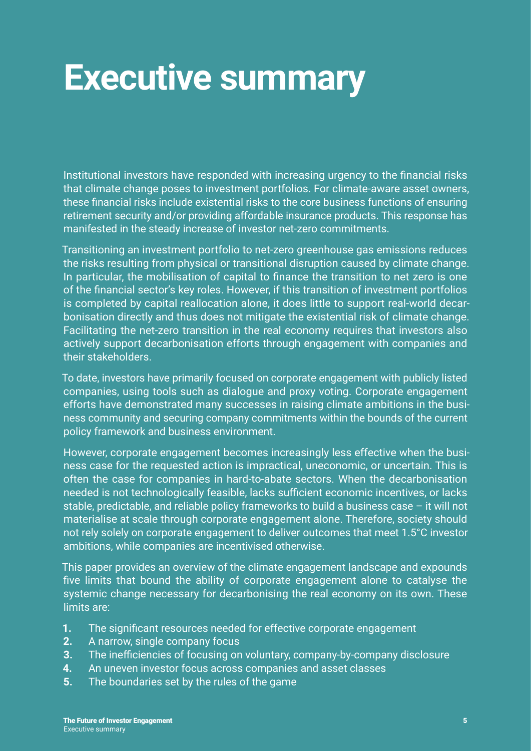## <span id="page-4-0"></span>**Executive summary**

Institutional investors have responded with increasing urgency to the financial risks that climate change poses to investment portfolios. For climate-aware asset owners, these financial risks include existential risks to the core business functions of ensuring retirement security and/or providing affordable insurance products. This response has manifested in the steady increase of investor net-zero commitments.

Transitioning an investment portfolio to net-zero greenhouse gas emissions reduces the risks resulting from physical or transitional disruption caused by climate change. In particular, the mobilisation of capital to finance the transition to net zero is one of the financial sector's key roles. However, if this transition of investment portfolios is completed by capital reallocation alone, it does little to support real-world decarbonisation directly and thus does not mitigate the existential risk of climate change. Facilitating the net-zero transition in the real economy requires that investors also actively support decarbonisation efforts through engagement with companies and their stakeholders.

To date, investors have primarily focused on corporate engagement with publicly listed companies, using tools such as dialogue and proxy voting. Corporate engagement efforts have demonstrated many successes in raising climate ambitions in the business community and securing company commitments within the bounds of the current policy framework and business environment.

However, corporate engagement becomes increasingly less effective when the business case for the requested action is impractical, uneconomic, or uncertain. This is often the case for companies in hard-to-abate sectors. When the decarbonisation needed is not technologically feasible, lacks sufficient economic incentives, or lacks stable, predictable, and reliable policy frameworks to build a business case – it will not materialise at scale through corporate engagement alone. Therefore, society should not rely solely on corporate engagement to deliver outcomes that meet 1.5°C investor ambitions, while companies are incentivised otherwise.

This paper provides an overview of the climate engagement landscape and expounds five limits that bound the ability of corporate engagement alone to catalyse the systemic change necessary for decarbonising the real economy on its own. These limits are:

- **1.** The significant resources needed for effective corporate engagement
- **2.** A narrow, single company focus
- **3.** The inefficiencies of focusing on voluntary, company-by-company disclosure
- **4.** An uneven investor focus across companies and asset classes
- **5.** The boundaries set by the rules of the game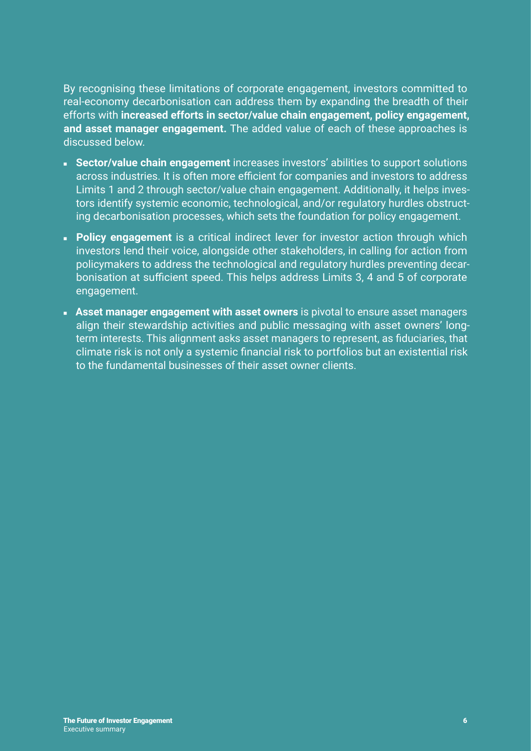By recognising these limitations of corporate engagement, investors committed to real-economy decarbonisation can address them by expanding the breadth of their efforts with **increased efforts in sector/value chain engagement, policy engagement, and asset manager engagement.** The added value of each of these approaches is discussed below.

- **Sector/value chain engagement** increases investors' abilities to support solutions across industries. It is often more efficient for companies and investors to address Limits 1 and 2 through sector/value chain engagement. Additionally, it helps investors identify systemic economic, technological, and/or regulatory hurdles obstructing decarbonisation processes, which sets the foundation for policy engagement.
- **Policy engagement** is a critical indirect lever for investor action through which investors lend their voice, alongside other stakeholders, in calling for action from policymakers to address the technological and regulatory hurdles preventing decarbonisation at sufficient speed. This helps address Limits 3, 4 and 5 of corporate engagement.
- **Example 2 Asset manager engagement with asset owners** is pivotal to ensure asset managers align their stewardship activities and public messaging with asset owners' longterm interests. This alignment asks asset managers to represent, as fiduciaries, that climate risk is not only a systemic financial risk to portfolios but an existential risk to the fundamental businesses of their asset owner clients.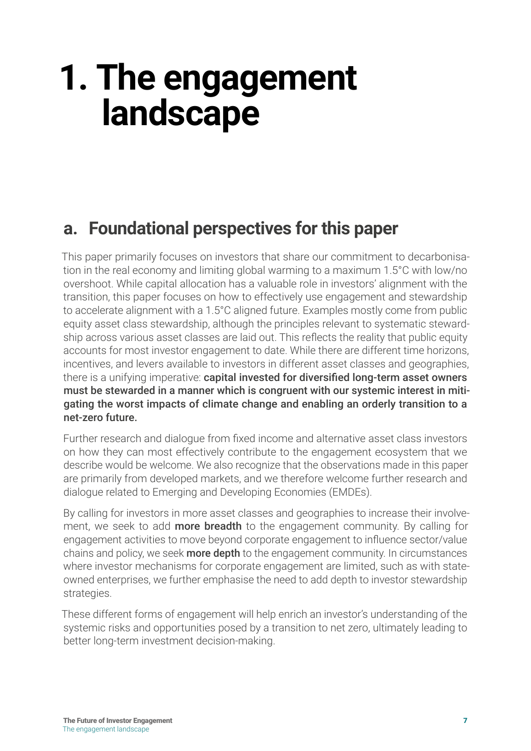## <span id="page-6-0"></span>**1. The engagement landscape**

### **a. Foundational perspectives for this paper**

This paper primarily focuses on investors that share our commitment to decarbonisation in the real economy and limiting global warming to a maximum 1.5°C with low/no overshoot. While capital allocation has a valuable role in investors' alignment with the transition, this paper focuses on how to effectively use engagement and stewardship to accelerate alignment with a 1.5°C aligned future. Examples mostly come from public equity asset class stewardship, although the principles relevant to systematic stewardship across various asset classes are laid out. This reflects the reality that public equity accounts for most investor engagement to date. While there are different time horizons, incentives, and levers available to investors in different asset classes and geographies, there is a unifying imperative: capital invested for diversified long-term asset owners must be stewarded in a manner which is congruent with our systemic interest in mitigating the worst impacts of climate change and enabling an orderly transition to a net-zero future.

Further research and dialogue from fixed income and alternative asset class investors on how they can most effectively contribute to the engagement ecosystem that we describe would be welcome. We also recognize that the observations made in this paper are primarily from developed markets, and we therefore welcome further research and dialogue related to Emerging and Developing Economies (EMDEs).

By calling for investors in more asset classes and geographies to increase their involvement, we seek to add **more breadth** to the engagement community. By calling for engagement activities to move beyond corporate engagement to influence sector/value chains and policy, we seek **more depth** to the engagement community. In circumstances where investor mechanisms for corporate engagement are limited, such as with stateowned enterprises, we further emphasise the need to add depth to investor stewardship strategies.

These different forms of engagement will help enrich an investor's understanding of the systemic risks and opportunities posed by a transition to net zero, ultimately leading to better long-term investment decision-making.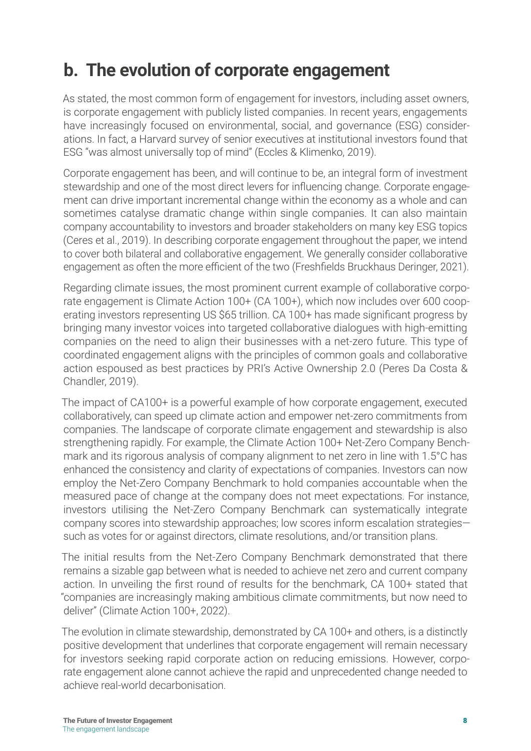### <span id="page-7-0"></span>**b. The evolution of corporate engagement**

As stated, the most common form of engagement for investors, including asset owners, is corporate engagement with publicly listed companies. In recent years, engagements have increasingly focused on environmental, social, and governance (ESG) considerations. In fact, a Harvard survey of senior executives at institutional investors found that ESG "was almost universally top of mind" (Eccles & Klimenko, 2019).

Corporate engagement has been, and will continue to be, an integral form of investment stewardship and one of the most direct levers for influencing change. Corporate engagement can drive important incremental change within the economy as a whole and can sometimes catalyse dramatic change within single companies. It can also maintain company accountability to investors and broader stakeholders on many key ESG topics (Ceres et al., 2019). In describing corporate engagement throughout the paper, we intend to cover both bilateral and collaborative engagement. We generally consider collaborative engagement as often the more efficient of the two (Freshfields Bruckhaus Deringer, 2021).

Regarding climate issues, the most prominent current example of collaborative corporate engagement is Climate Action 100+ (CA 100+), which now includes over 600 cooperating investors representing US \$65 trillion. CA 100+ has made significant progress by bringing many investor voices into targeted collaborative dialogues with high-emitting companies on the need to align their businesses with a net-zero future. This type of coordinated engagement aligns with the principles of common goals and collaborative action espoused as best practices by PRI's Active Ownership 2.0 (Peres Da Costa & Chandler, 2019).

The impact of CA100+ is a powerful example of how corporate engagement, executed collaboratively, can speed up climate action and empower net-zero commitments from companies. The landscape of corporate climate engagement and stewardship is also strengthening rapidly. For example, the Climate Action 100+ Net-Zero Company Benchmark and its rigorous analysis of company alignment to net zero in line with 1.5°C has enhanced the consistency and clarity of expectations of companies. Investors can now employ the Net-Zero Company Benchmark to hold companies accountable when the measured pace of change at the company does not meet expectations. For instance, investors utilising the Net-Zero Company Benchmark can systematically integrate company scores into stewardship approaches; low scores inform escalation strategies such as votes for or against directors, climate resolutions, and/or transition plans.

The initial results from the Net-Zero Company Benchmark demonstrated that there remains a sizable gap between what is needed to achieve net zero and current company action. In unveiling the first round of results for the benchmark, CA 100+ stated that "companies are increasingly making ambitious climate commitments, but now need to deliver" (Climate Action 100+, 2022).

The evolution in climate stewardship, demonstrated by CA 100+ and others, is a distinctly positive development that underlines that corporate engagement will remain necessary for investors seeking rapid corporate action on reducing emissions. However, corporate engagement alone cannot achieve the rapid and unprecedented change needed to achieve real-world decarbonisation.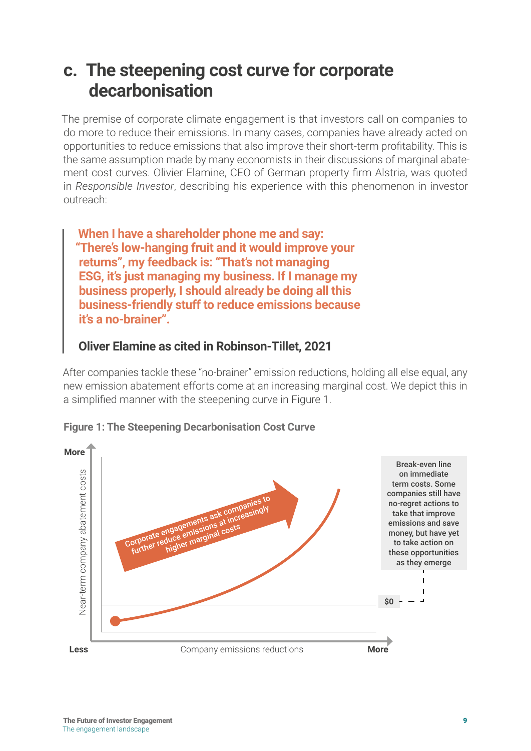### <span id="page-8-0"></span>**c. The steepening cost curve for corporate decarbonisation**

The premise of corporate climate engagement is that investors call on companies to do more to reduce their emissions. In many cases, companies have already acted on opportunities to reduce emissions that also improve their short-term profitability. This is the same assumption made by many economists in their discussions of marginal abatement cost curves. Olivier Elamine, CEO of German property firm Alstria, was quoted in *Responsible Investor*, describing his experience with this phenomenon in investor outreach:

**When I have a shareholder phone me and say: "There's low-hanging fruit and it would improve your returns", my feedback is: "That's not managing ESG, it's just managing my business. If I manage my business properly, I should already be doing all this business-friendly stuff to reduce emissions because it's a no-brainer".**

#### **Oliver Elamine as cited in Robinson-Tillet, 2021**

After companies tackle these "no-brainer" emission reductions, holding all else equal, any new emission abatement efforts come at an increasing marginal cost. We depict this in a simplified manner with the steepening curve in Figure 1.



**Figure 1: The Steepening Decarbonisation Cost Curve**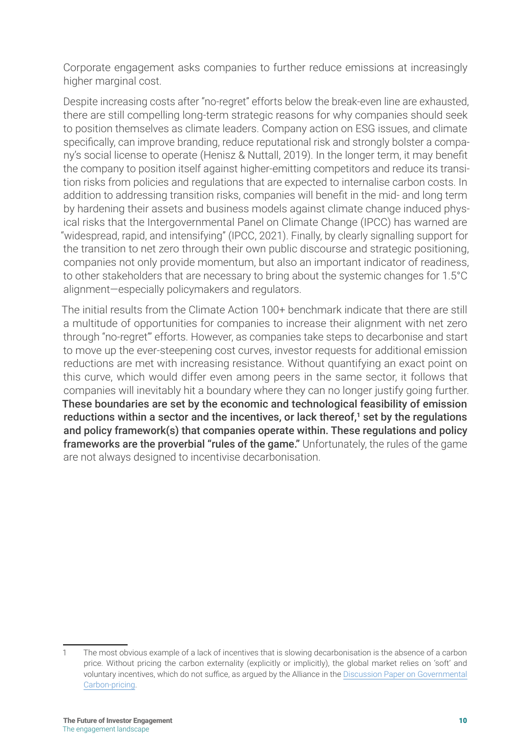Corporate engagement asks companies to further reduce emissions at increasingly higher marginal cost.

Despite increasing costs after "no-regret" efforts below the break-even line are exhausted, there are still compelling long-term strategic reasons for why companies should seek to position themselves as climate leaders. Company action on ESG issues, and climate specifically, can improve branding, reduce reputational risk and strongly bolster a company's social license to operate (Henisz & Nuttall, 2019). In the longer term, it may benefit the company to position itself against higher-emitting competitors and reduce its transition risks from policies and regulations that are expected to internalise carbon costs. In addition to addressing transition risks, companies will benefit in the mid- and long term by hardening their assets and business models against climate change induced physical risks that the Intergovernmental Panel on Climate Change (IPCC) has warned are "widespread, rapid, and intensifying" (IPCC, 2021). Finally, by clearly signalling support for the transition to net zero through their own public discourse and strategic positioning, companies not only provide momentum, but also an important indicator of readiness, to other stakeholders that are necessary to bring about the systemic changes for 1.5°C alignment—especially policymakers and regulators.

The initial results from the Climate Action 100+ benchmark indicate that there are still a multitude of opportunities for companies to increase their alignment with net zero through "no-regret"' efforts. However, as companies take steps to decarbonise and start to move up the ever-steepening cost curves, investor requests for additional emission reductions are met with increasing resistance. Without quantifying an exact point on this curve, which would differ even among peers in the same sector, it follows that companies will inevitably hit a boundary where they can no longer justify going further. These boundaries are set by the economic and technological feasibility of emission reductions within a sector and the incentives, or lack thereof,**1** set by the regulations and policy framework(s) that companies operate within. These regulations and policy frameworks are the proverbial "rules of the game." Unfortunately, the rules of the game are not always designed to incentivise decarbonisation.

<sup>1</sup> The most obvious example of a lack of incentives that is slowing decarbonisation is the absence of a carbon price. Without pricing the carbon externality (explicitly or implicitly), the global market relies on 'soft' and voluntary incentives, which do not suffice, as argued by the Alliance in the [Discussion Paper on Governmental](https://www.unepfi.org/publications/discussion-paper-on-governmental-carbon-pricing/)  [Carbon-pricing](https://www.unepfi.org/publications/discussion-paper-on-governmental-carbon-pricing/).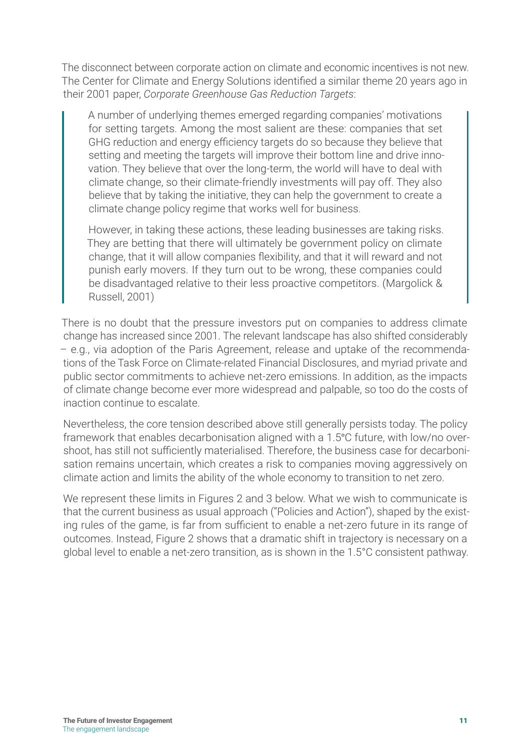The disconnect between corporate action on climate and economic incentives is not new. The Center for Climate and Energy Solutions identified a similar theme 20 years ago in their 2001 paper, *Corporate Greenhouse Gas Reduction Targets*:

A number of underlying themes emerged regarding companies' motivations for setting targets. Among the most salient are these: companies that set GHG reduction and energy efficiency targets do so because they believe that setting and meeting the targets will improve their bottom line and drive innovation. They believe that over the long-term, the world will have to deal with climate change, so their climate-friendly investments will pay off. They also believe that by taking the initiative, they can help the government to create a climate change policy regime that works well for business.

However, in taking these actions, these leading businesses are taking risks. They are betting that there will ultimately be government policy on climate change, that it will allow companies flexibility, and that it will reward and not punish early movers. If they turn out to be wrong, these companies could be disadvantaged relative to their less proactive competitors. (Margolick & Russell, 2001)

There is no doubt that the pressure investors put on companies to address climate change has increased since 2001. The relevant landscape has also shifted considerably – e.g., via adoption of the Paris Agreement, release and uptake of the recommendations of the Task Force on Climate-related Financial Disclosures, and myriad private and public sector commitments to achieve net-zero emissions. In addition, as the impacts of climate change become ever more widespread and palpable, so too do the costs of inaction continue to escalate.

Nevertheless, the core tension described above still generally persists today. The policy framework that enables decarbonisation aligned with a 1.5°C future, with low/no overshoot, has still not sufficiently materialised. Therefore, the business case for decarbonisation remains uncertain, which creates a risk to companies moving aggressively on climate action and limits the ability of the whole economy to transition to net zero.

We represent these limits in Figures 2 and 3 below. What we wish to communicate is that the current business as usual approach ("Policies and Action"), shaped by the existing rules of the game, is far from sufficient to enable a net-zero future in its range of outcomes. Instead, Figure 2 shows that a dramatic shift in trajectory is necessary on a global level to enable a net-zero transition, as is shown in the 1.5°C consistent pathway.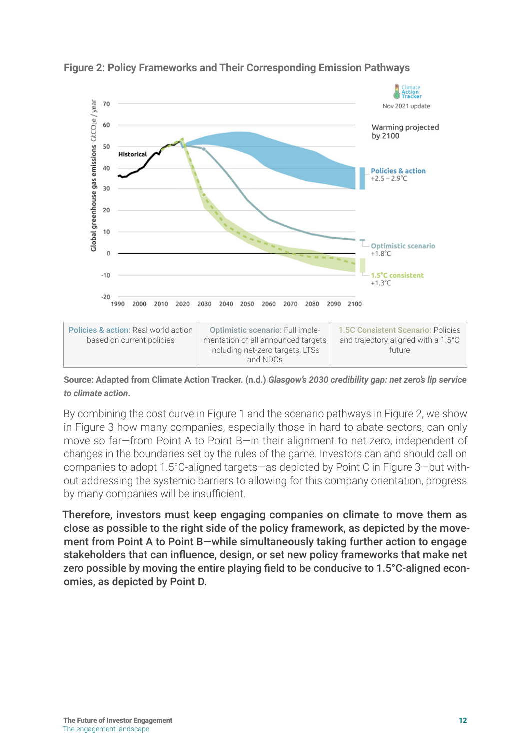

#### **Figure 2: Policy Frameworks and Their Corresponding Emission Pathways**

| <b>Policies &amp; action: Real world action</b><br>based on current policies | Optimistic scenario: Full imple-<br>mentation of all announced targets<br>including net-zero targets, LTSs<br>and NDCs | 1.5C Consistent Scenario: Policies<br>and trajectory aligned with a 1.5°C<br>future |
|------------------------------------------------------------------------------|------------------------------------------------------------------------------------------------------------------------|-------------------------------------------------------------------------------------|

**Source: Adapted from Climate Action Tracker. (n.d.)** *Glasgow's 2030 credibility gap: net zero's lip service to climate action***.**

By combining the cost curve in Figure 1 and the scenario pathways in Figure 2, we show in Figure 3 how many companies, especially those in hard to abate sectors, can only move so far—from Point A to Point B—in their alignment to net zero, independent of changes in the boundaries set by the rules of the game. Investors can and should call on companies to adopt 1.5°C-aligned targets—as depicted by Point C in Figure 3—but without addressing the systemic barriers to allowing for this company orientation, progress by many companies will be insufficient.

Therefore, investors must keep engaging companies on climate to move them as close as possible to the right side of the policy framework, as depicted by the movement from Point A to Point B—while simultaneously taking further action to engage stakeholders that can influence, design, or set new policy frameworks that make net zero possible by moving the entire playing field to be conducive to 1.5°C-aligned economies, as depicted by Point D.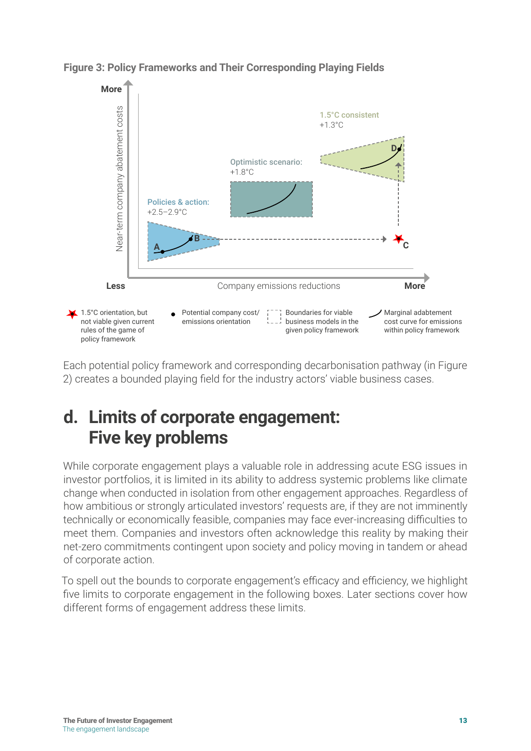

<span id="page-12-0"></span>**Figure 3: Policy Frameworks and Their Corresponding Playing Fields** 

Each potential policy framework and corresponding decarbonisation pathway (in Figure 2) creates a bounded playing field for the industry actors' viable business cases.

### **d. Limits of corporate engagement: Five key problems**

While corporate engagement plays a valuable role in addressing acute ESG issues in investor portfolios, it is limited in its ability to address systemic problems like climate change when conducted in isolation from other engagement approaches. Regardless of how ambitious or strongly articulated investors' requests are, if they are not imminently technically or economically feasible, companies may face ever-increasing difficulties to meet them. Companies and investors often acknowledge this reality by making their net-zero commitments contingent upon society and policy moving in tandem or ahead of corporate action.

To spell out the bounds to corporate engagement's efficacy and efficiency, we highlight five limits to corporate engagement in the following boxes. Later sections cover how different forms of engagement address these limits.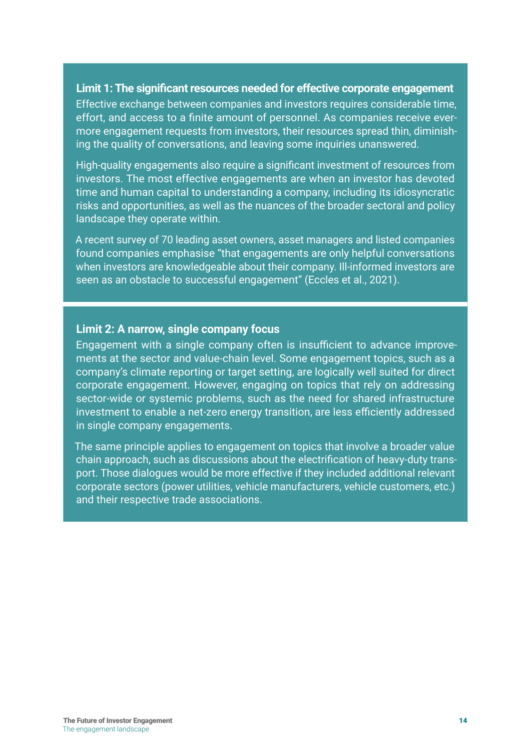#### **Limit 1: The significant resources needed for effective corporate engagement**

Effective exchange between companies and investors requires considerable time, effort, and access to a finite amount of personnel. As companies receive evermore engagement requests from investors, their resources spread thin, diminishing the quality of conversations, and leaving some inquiries unanswered.

High-quality engagements also require a significant investment of resources from investors. The most effective engagements are when an investor has devoted time and human capital to understanding a company, including its idiosyncratic risks and opportunities, as well as the nuances of the broader sectoral and policy landscape they operate within.

A recent survey of 70 leading asset owners, asset managers and listed companies found companies emphasise "that engagements are only helpful conversations when investors are knowledgeable about their company. Ill-informed investors are seen as an obstacle to successful engagement" (Eccles et al., 2021).

#### **Limit 2: A narrow, single company focus**

Engagement with a single company often is insufficient to advance improvements at the sector and value-chain level. Some engagement topics, such as a company's climate reporting or target setting, are logically well suited for direct corporate engagement. However, engaging on topics that rely on addressing sector-wide or systemic problems, such as the need for shared infrastructure investment to enable a net-zero energy transition, are less efficiently addressed in single company engagements.

The same principle applies to engagement on topics that involve a broader value chain approach, such as discussions about the electrification of heavy-duty transport. Those dialogues would be more effective if they included additional relevant corporate sectors (power utilities, vehicle manufacturers, vehicle customers, etc.) and their respective trade associations.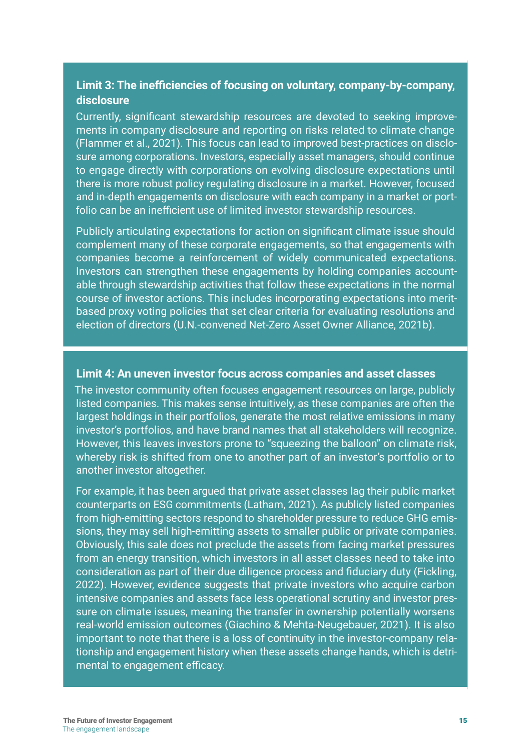#### **Limit 3: The inefficiencies of focusing on voluntary, company-by-company, disclosure**

Currently, significant stewardship resources are devoted to seeking improvements in company disclosure and reporting on risks related to climate change (Flammer et al., 2021). This focus can lead to improved best-practices on disclosure among corporations. Investors, especially asset managers, should continue to engage directly with corporations on evolving disclosure expectations until there is more robust policy regulating disclosure in a market. However, focused and in-depth engagements on disclosure with each company in a market or portfolio can be an inefficient use of limited investor stewardship resources.

Publicly articulating expectations for action on significant climate issue should complement many of these corporate engagements, so that engagements with companies become a reinforcement of widely communicated expectations. Investors can strengthen these engagements by holding companies accountable through stewardship activities that follow these expectations in the normal course of investor actions. This includes incorporating expectations into meritbased proxy voting policies that set clear criteria for evaluating resolutions and election of directors (U.N.-convened Net-Zero Asset Owner Alliance, 2021b).

#### **Limit 4: An uneven investor focus across companies and asset classes**

The investor community often focuses engagement resources on large, publicly listed companies. This makes sense intuitively, as these companies are often the largest holdings in their portfolios, generate the most relative emissions in many investor's portfolios, and have brand names that all stakeholders will recognize. However, this leaves investors prone to "squeezing the balloon" on climate risk, whereby risk is shifted from one to another part of an investor's portfolio or to another investor altogether.

For example, it has been argued that private asset classes lag their public market counterparts on ESG commitments (Latham, 2021). As publicly listed companies from high-emitting sectors respond to shareholder pressure to reduce GHG emissions, they may sell high-emitting assets to smaller public or private companies. Obviously, this sale does not preclude the assets from facing market pressures from an energy transition, which investors in all asset classes need to take into consideration as part of their due diligence process and fiduciary duty (Fickling, 2022). However, evidence suggests that private investors who acquire carbon intensive companies and assets face less operational scrutiny and investor pressure on climate issues, meaning the transfer in ownership potentially worsens real-world emission outcomes (Giachino & Mehta-Neugebauer, 2021). It is also important to note that there is a loss of continuity in the investor-company relationship and engagement history when these assets change hands, which is detrimental to engagement efficacy.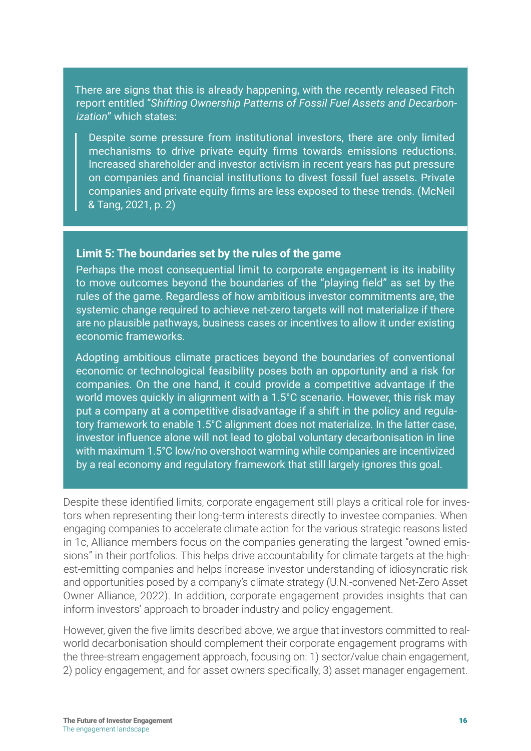There are signs that this is already happening, with the recently released Fitch report entitled "*Shifting Ownership Patterns of Fossil Fuel Assets and Decarbonization*" which states:

Despite some pressure from institutional investors, there are only limited mechanisms to drive private equity firms towards emissions reductions. Increased shareholder and investor activism in recent years has put pressure on companies and financial institutions to divest fossil fuel assets. Private companies and private equity firms are less exposed to these trends. (McNeil & Tang, 2021, p. 2)

#### **Limit 5: The boundaries set by the rules of the game**

Perhaps the most consequential limit to corporate engagement is its inability to move outcomes beyond the boundaries of the "playing field" as set by the rules of the game. Regardless of how ambitious investor commitments are, the systemic change required to achieve net-zero targets will not materialize if there are no plausible pathways, business cases or incentives to allow it under existing economic frameworks.

Adopting ambitious climate practices beyond the boundaries of conventional economic or technological feasibility poses both an opportunity and a risk for companies. On the one hand, it could provide a competitive advantage if the world moves quickly in alignment with a 1.5°C scenario. However, this risk may put a company at a competitive disadvantage if a shift in the policy and regulatory framework to enable 1.5°C alignment does not materialize. In the latter case, investor influence alone will not lead to global voluntary decarbonisation in line with maximum 1.5°C low/no overshoot warming while companies are incentivized by a real economy and regulatory framework that still largely ignores this goal.

Despite these identified limits, corporate engagement still plays a critical role for investors when representing their long-term interests directly to investee companies. When engaging companies to accelerate climate action for the various strategic reasons listed in 1c, Alliance members focus on the companies generating the largest "owned emissions" in their portfolios. This helps drive accountability for climate targets at the highest-emitting companies and helps increase investor understanding of idiosyncratic risk and opportunities posed by a company's climate strategy (U.N.-convened Net-Zero Asset Owner Alliance, 2022). In addition, corporate engagement provides insights that can inform investors' approach to broader industry and policy engagement.

However, given the five limits described above, we argue that investors committed to realworld decarbonisation should complement their corporate engagement programs with the three-stream engagement approach, focusing on: 1) sector/value chain engagement, 2) policy engagement, and for asset owners specifically, 3) asset manager engagement.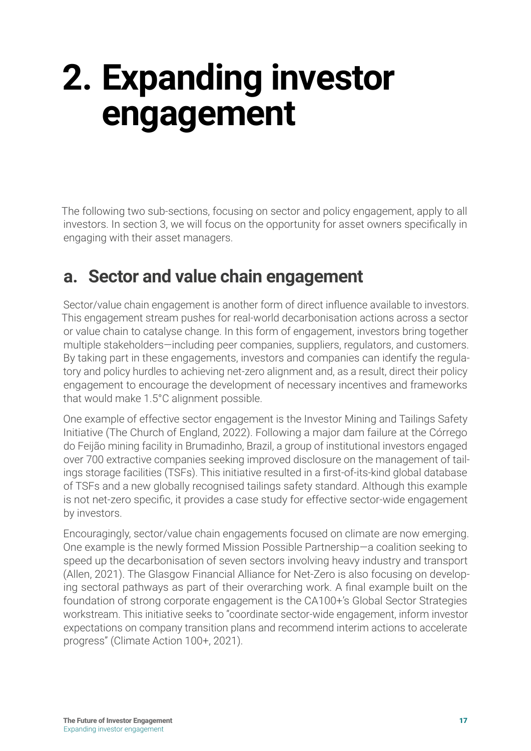## <span id="page-16-0"></span>**2. Expanding investor engagement**

The following two sub-sections, focusing on sector and policy engagement, apply to all investors. In section 3, we will focus on the opportunity for asset owners specifically in engaging with their asset managers.

### **a. Sector and value chain engagement**

Sector/value chain engagement is another form of direct influence available to investors. This engagement stream pushes for real-world decarbonisation actions across a sector or value chain to catalyse change. In this form of engagement, investors bring together multiple stakeholders—including peer companies, suppliers, regulators, and customers. By taking part in these engagements, investors and companies can identify the regulatory and policy hurdles to achieving net-zero alignment and, as a result, direct their policy engagement to encourage the development of necessary incentives and frameworks that would make 1.5°C alignment possible.

One example of effective sector engagement is the Investor Mining and Tailings Safety Initiative (The Church of England, 2022). Following a major dam failure at the Córrego do Feijão mining facility in Brumadinho, Brazil, a group of institutional investors engaged over 700 extractive companies seeking improved disclosure on the management of tailings storage facilities (TSFs). This initiative resulted in a first-of-its-kind global database of TSFs and a new globally recognised tailings safety standard. Although this example is not net-zero specific, it provides a case study for effective sector-wide engagement by investors.

Encouragingly, sector/value chain engagements focused on climate are now emerging. One example is the newly formed Mission Possible Partnership—a coalition seeking to speed up the decarbonisation of seven sectors involving heavy industry and transport (Allen, 2021). The Glasgow Financial Alliance for Net-Zero is also focusing on developing sectoral pathways as part of their overarching work. A final example built on the foundation of strong corporate engagement is the CA100+'s Global Sector Strategies workstream. This initiative seeks to "coordinate sector-wide engagement, inform investor expectations on company transition plans and recommend interim actions to accelerate progress" (Climate Action 100+, 2021).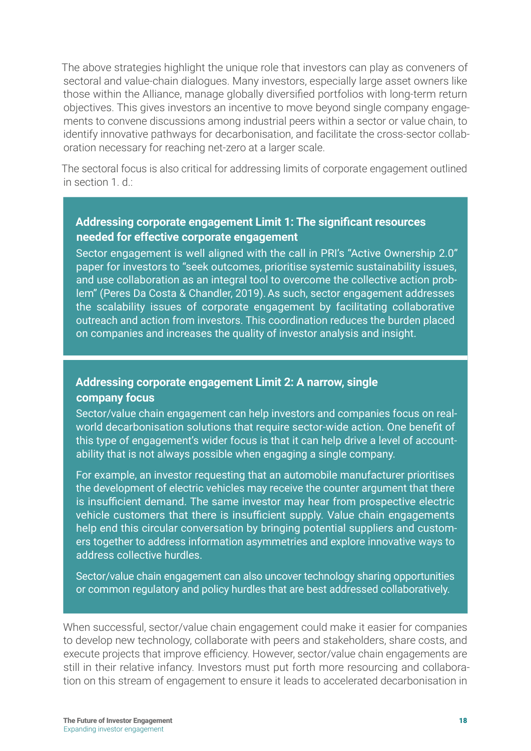The above strategies highlight the unique role that investors can play as conveners of sectoral and value-chain dialogues. Many investors, especially large asset owners like those within the Alliance, manage globally diversified portfolios with long-term return objectives. This gives investors an incentive to move beyond single company engagements to convene discussions among industrial peers within a sector or value chain, to identify innovative pathways for decarbonisation, and facilitate the cross-sector collaboration necessary for reaching net-zero at a larger scale.

The sectoral focus is also critical for addressing limits of corporate engagement outlined in section  $1 \, d \cdot$ 

#### **Addressing corporate engagement Limit 1: The significant resources needed for effective corporate engagement**

Sector engagement is well aligned with the call in PRI's "Active Ownership 2.0" paper for investors to "seek outcomes, prioritise systemic sustainability issues, and use collaboration as an integral tool to overcome the collective action problem" (Peres Da Costa & Chandler, 2019).As such, sector engagement addresses the scalability issues of corporate engagement by facilitating collaborative outreach and action from investors. This coordination reduces the burden placed on companies and increases the quality of investor analysis and insight.

#### **Addressing corporate engagement Limit 2: A narrow, single company focus**

Sector/value chain engagement can help investors and companies focus on realworld decarbonisation solutions that require sector-wide action. One benefit of this type of engagement's wider focus is that it can help drive a level of accountability that is not always possible when engaging a single company.

For example, an investor requesting that an automobile manufacturer prioritises the development of electric vehicles may receive the counter argument that there is insufficient demand. The same investor may hear from prospective electric vehicle customers that there is insufficient supply. Value chain engagements help end this circular conversation by bringing potential suppliers and customers together to address information asymmetries and explore innovative ways to address collective hurdles.

Sector/value chain engagement can also uncover technology sharing opportunities or common regulatory and policy hurdles that are best addressed collaboratively.

When successful, sector/value chain engagement could make it easier for companies to develop new technology, collaborate with peers and stakeholders, share costs, and execute projects that improve efficiency. However, sector/value chain engagements are still in their relative infancy. Investors must put forth more resourcing and collaboration on this stream of engagement to ensure it leads to accelerated decarbonisation in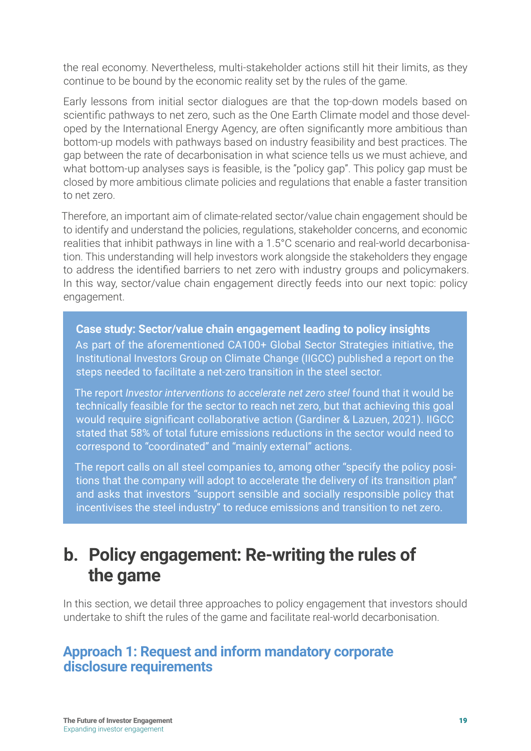<span id="page-18-0"></span>the real economy. Nevertheless, multi-stakeholder actions still hit their limits, as they continue to be bound by the economic reality set by the rules of the game.

Early lessons from initial sector dialogues are that the top-down models based on scientific pathways to net zero, such as the One Earth Climate model and those developed by the International Energy Agency, are often significantly more ambitious than bottom-up models with pathways based on industry feasibility and best practices. The gap between the rate of decarbonisation in what science tells us we must achieve, and what bottom-up analyses says is feasible, is the "policy gap". This policy gap must be closed by more ambitious climate policies and regulations that enable a faster transition to net zero.

Therefore, an important aim of climate-related sector/value chain engagement should be to identify and understand the policies, regulations, stakeholder concerns, and economic realities that inhibit pathways in line with a 1.5°C scenario and real-world decarbonisation. This understanding will help investors work alongside the stakeholders they engage to address the identified barriers to net zero with industry groups and policymakers. In this way, sector/value chain engagement directly feeds into our next topic: policy engagement.

#### **Case study: Sector/value chain engagement leading to policy insights**

As part of the aforementioned CA100+ Global Sector Strategies initiative, the Institutional Investors Group on Climate Change (IIGCC) published a report on the steps needed to facilitate a net-zero transition in the steel sector.

The report *Investor interventions to accelerate net zero steel* found that it would be technically feasible for the sector to reach net zero, but that achieving this goal would require significant collaborative action (Gardiner & Lazuen, 2021). IIGCC stated that 58% of total future emissions reductions in the sector would need to correspond to "coordinated" and "mainly external" actions.

The report calls on all steel companies to, among other "specify the policy positions that the company will adopt to accelerate the delivery of its transition plan" and asks that investors "support sensible and socially responsible policy that incentivises the steel industry" to reduce emissions and transition to net zero.

### **b. Policy engagement: Re-writing the rules of the game**

In this section, we detail three approaches to policy engagement that investors should undertake to shift the rules of the game and facilitate real-world decarbonisation.

#### **Approach 1: Request and inform mandatory corporate disclosure requirements**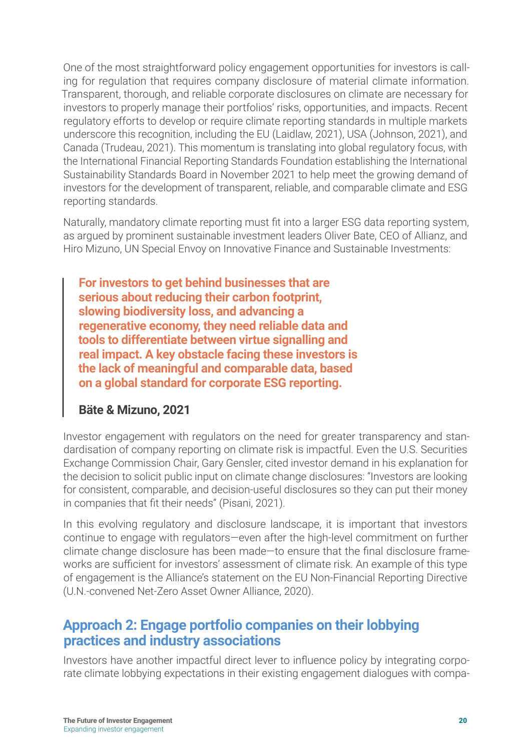One of the most straightforward policy engagement opportunities for investors is calling for regulation that requires company disclosure of material climate information. Transparent, thorough, and reliable corporate disclosures on climate are necessary for investors to properly manage their portfolios' risks, opportunities, and impacts. Recent regulatory efforts to develop or require climate reporting standards in multiple markets underscore this recognition, including the EU (Laidlaw, 2021), USA (Johnson, 2021), and Canada (Trudeau, 2021). This momentum is translating into global regulatory focus, with the International Financial Reporting Standards Foundation establishing the International Sustainability Standards Board in November 2021 to help meet the growing demand of investors for the development of transparent, reliable, and comparable climate and ESG reporting standards.

Naturally, mandatory climate reporting must fit into a larger ESG data reporting system, as argued by prominent sustainable investment leaders Oliver Bate, CEO of Allianz, and Hiro Mizuno, UN Special Envoy on Innovative Finance and Sustainable Investments:

**For investors to get behind businesses that are serious about reducing their carbon footprint, slowing biodiversity loss, and advancing a regenerative economy, they need reliable data and tools to differentiate between virtue signalling and real impact. A key obstacle facing these investors is the lack of meaningful and comparable data, based on a global standard for corporate ESG reporting.**

#### **Bäte & Mizuno, 2021**

Investor engagement with regulators on the need for greater transparency and standardisation of company reporting on climate risk is impactful. Even the U.S. Securities Exchange Commission Chair, Gary Gensler, cited investor demand in his explanation for the decision to solicit public input on climate change disclosures: "Investors are looking for consistent, comparable, and decision-useful disclosures so they can put their money in companies that fit their needs" (Pisani, 2021).

In this evolving regulatory and disclosure landscape, it is important that investors continue to engage with regulators—even after the high-level commitment on further climate change disclosure has been made—to ensure that the final disclosure frameworks are sufficient for investors' assessment of climate risk. An example of this type of engagement is the Alliance's statement on the EU Non-Financial Reporting Directive (U.N.-convened Net-Zero Asset Owner Alliance, 2020).

#### **Approach 2: Engage portfolio companies on their lobbying practices and industry associations**

Investors have another impactful direct lever to influence policy by integrating corporate climate lobbying expectations in their existing engagement dialogues with compa-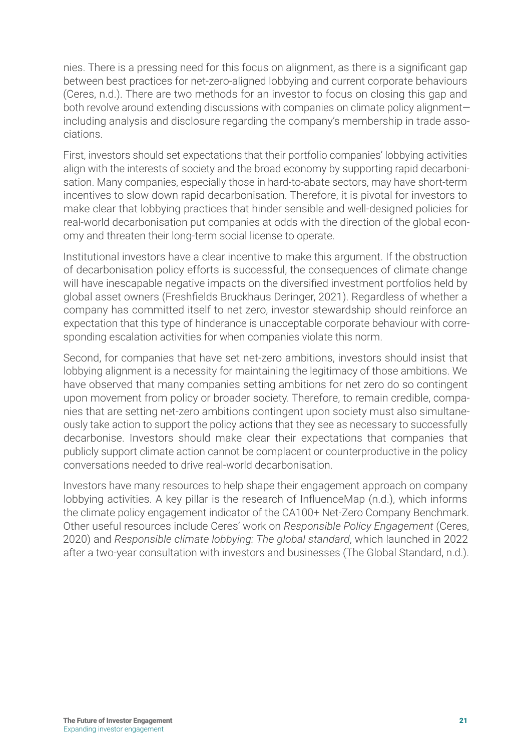nies. There is a pressing need for this focus on alignment, as there is a significant gap between best practices for net-zero-aligned lobbying and current corporate behaviours (Ceres, n.d.). There are two methods for an investor to focus on closing this gap and both revolve around extending discussions with companies on climate policy alignment including analysis and disclosure regarding the company's membership in trade associations.

First, investors should set expectations that their portfolio companies' lobbying activities align with the interests of society and the broad economy by supporting rapid decarbonisation. Many companies, especially those in hard-to-abate sectors, may have short-term incentives to slow down rapid decarbonisation. Therefore, it is pivotal for investors to make clear that lobbying practices that hinder sensible and well-designed policies for real-world decarbonisation put companies at odds with the direction of the global economy and threaten their long-term social license to operate.

Institutional investors have a clear incentive to make this argument. If the obstruction of decarbonisation policy efforts is successful, the consequences of climate change will have inescapable negative impacts on the diversified investment portfolios held by global asset owners (Freshfields Bruckhaus Deringer, 2021). Regardless of whether a company has committed itself to net zero, investor stewardship should reinforce an expectation that this type of hinderance is unacceptable corporate behaviour with corresponding escalation activities for when companies violate this norm.

Second, for companies that have set net-zero ambitions, investors should insist that lobbying alignment is a necessity for maintaining the legitimacy of those ambitions. We have observed that many companies setting ambitions for net zero do so contingent upon movement from policy or broader society. Therefore, to remain credible, companies that are setting net-zero ambitions contingent upon society must also simultaneously take action to support the policy actions that they see as necessary to successfully decarbonise. Investors should make clear their expectations that companies that publicly support climate action cannot be complacent or counterproductive in the policy conversations needed to drive real-world decarbonisation.

Investors have many resources to help shape their engagement approach on company lobbying activities. A key pillar is the research of InfluenceMap (n.d.), which informs the climate policy engagement indicator of the CA100+ Net-Zero Company Benchmark. Other useful resources include Ceres' work on *Responsible Policy Engagement* (Ceres, 2020) and *Responsible climate lobbying: The global standard*, which launched in 2022 after a two-year consultation with investors and businesses (The Global Standard, n.d.).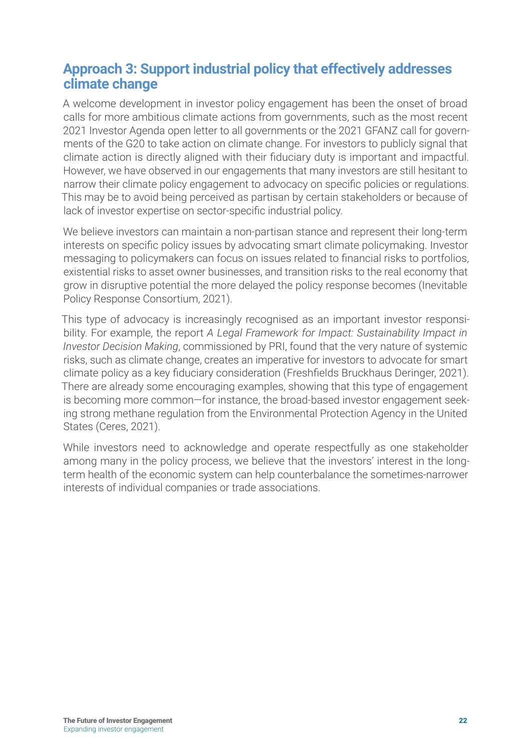#### **Approach 3: Support industrial policy that effectively addresses climate change**

A welcome development in investor policy engagement has been the onset of broad calls for more ambitious climate actions from governments, such as the most recent 2021 Investor Agenda open letter to all governments or the 2021 GFANZ call for governments of the G20 to take action on climate change. For investors to publicly signal that climate action is directly aligned with their fiduciary duty is important and impactful. However, we have observed in our engagements that many investors are still hesitant to narrow their climate policy engagement to advocacy on specific policies or regulations. This may be to avoid being perceived as partisan by certain stakeholders or because of lack of investor expertise on sector-specific industrial policy.

We believe investors can maintain a non-partisan stance and represent their long-term interests on specific policy issues by advocating smart climate policymaking. Investor messaging to policymakers can focus on issues related to financial risks to portfolios, existential risks to asset owner businesses, and transition risks to the real economy that grow in disruptive potential the more delayed the policy response becomes (Inevitable Policy Response Consortium, 2021).

This type of advocacy is increasingly recognised as an important investor responsibility. For example, the report *A Legal Framework for Impact: Sustainability Impact in Investor Decision Making*, commissioned by PRI, found that the very nature of systemic risks, such as climate change, creates an imperative for investors to advocate for smart climate policy as a key fiduciary consideration (Freshfields Bruckhaus Deringer, 2021). There are already some encouraging examples, showing that this type of engagement is becoming more common—for instance, the broad-based investor engagement seeking strong methane regulation from the Environmental Protection Agency in the United States (Ceres, 2021).

While investors need to acknowledge and operate respectfully as one stakeholder among many in the policy process, we believe that the investors' interest in the longterm health of the economic system can help counterbalance the sometimes-narrower interests of individual companies or trade associations.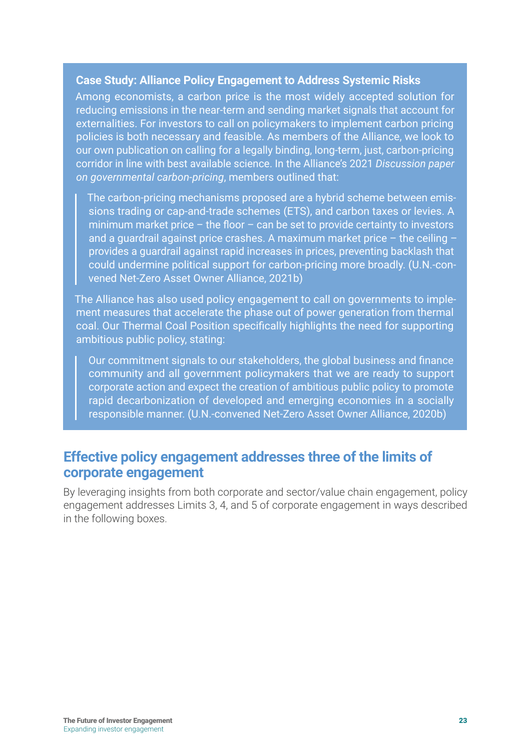#### **Case Study: Alliance Policy Engagement to Address Systemic Risks**

Among economists, a carbon price is the most widely accepted solution for reducing emissions in the near-term and sending market signals that account for externalities. For investors to call on policymakers to implement carbon pricing policies is both necessary and feasible. As members of the Alliance, we look to our own publication on calling for a legally binding, long-term, just, carbon-pricing corridor in line with best available science. In the Alliance's 2021 *Discussion paper on governmental carbon-pricing*, members outlined that:

The carbon-pricing mechanisms proposed are a hybrid scheme between emissions trading or cap-and-trade schemes (ETS), and carbon taxes or levies. A minimum market price – the floor – can be set to provide certainty to investors and a guardrail against price crashes. A maximum market price  $-$  the ceiling  $$ provides a guardrail against rapid increases in prices, preventing backlash that could undermine political support for carbon-pricing more broadly. (U.N.-convened Net-Zero Asset Owner Alliance, 2021b)

The Alliance has also used policy engagement to call on governments to implement measures that accelerate the phase out of power generation from thermal coal. Our Thermal Coal Position specifically highlights the need for supporting ambitious public policy, stating:

Our commitment signals to our stakeholders, the global business and finance community and all government policymakers that we are ready to support corporate action and expect the creation of ambitious public policy to promote rapid decarbonization of developed and emerging economies in a socially responsible manner. (U.N.-convened Net-Zero Asset Owner Alliance, 2020b)

#### **Effective policy engagement addresses three of the limits of corporate engagement**

By leveraging insights from both corporate and sector/value chain engagement, policy engagement addresses Limits 3, 4, and 5 of corporate engagement in ways described in the following boxes.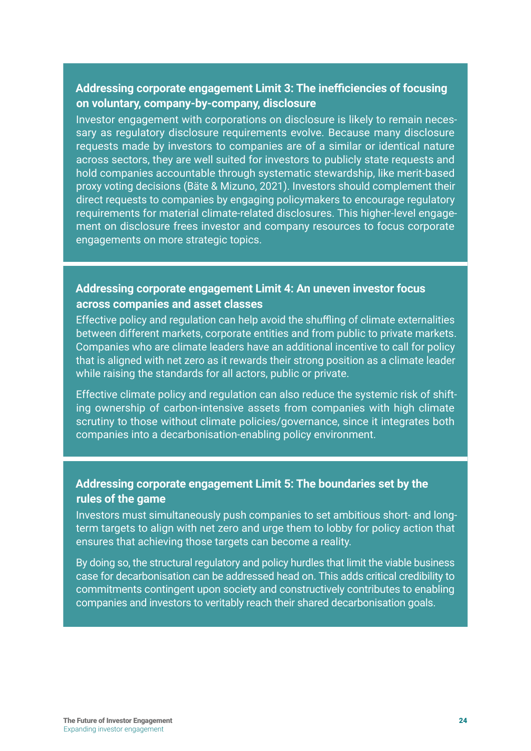#### **Addressing corporate engagement Limit 3: The inefficiencies of focusing on voluntary, company-by-company, disclosure**

Investor engagement with corporations on disclosure is likely to remain necessary as regulatory disclosure requirements evolve. Because many disclosure requests made by investors to companies are of a similar or identical nature across sectors, they are well suited for investors to publicly state requests and hold companies accountable through systematic stewardship, like merit-based proxy voting decisions (Bäte & Mizuno, 2021). Investors should complement their direct requests to companies by engaging policymakers to encourage regulatory requirements for material climate-related disclosures. This higher-level engagement on disclosure frees investor and company resources to focus corporate engagements on more strategic topics.

#### **Addressing corporate engagement Limit 4: An uneven investor focus across companies and asset classes**

Effective policy and regulation can help avoid the shuffling of climate externalities between different markets, corporate entities and from public to private markets. Companies who are climate leaders have an additional incentive to call for policy that is aligned with net zero as it rewards their strong position as a climate leader while raising the standards for all actors, public or private.

Effective climate policy and regulation can also reduce the systemic risk of shifting ownership of carbon-intensive assets from companies with high climate scrutiny to those without climate policies/governance, since it integrates both companies into a decarbonisation-enabling policy environment.

#### **Addressing corporate engagement Limit 5: The boundaries set by the rules of the game**

Investors must simultaneously push companies to set ambitious short- and longterm targets to align with net zero and urge them to lobby for policy action that ensures that achieving those targets can become a reality.

By doing so, the structural regulatory and policy hurdles that limit the viable business case for decarbonisation can be addressed head on. This adds critical credibility to commitments contingent upon society and constructively contributes to enabling companies and investors to veritably reach their shared decarbonisation goals.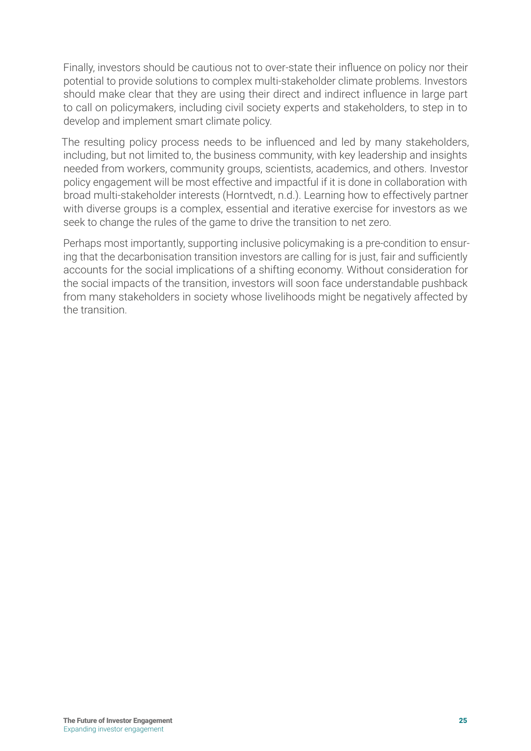Finally, investors should be cautious not to over-state their influence on policy nor their potential to provide solutions to complex multi-stakeholder climate problems. Investors should make clear that they are using their direct and indirect influence in large part to call on policymakers, including civil society experts and stakeholders, to step in to develop and implement smart climate policy.

The resulting policy process needs to be influenced and led by many stakeholders, including, but not limited to, the business community, with key leadership and insights needed from workers, community groups, scientists, academics, and others. Investor policy engagement will be most effective and impactful if it is done in collaboration with broad multi-stakeholder interests (Horntvedt, n.d.). Learning how to effectively partner with diverse groups is a complex, essential and iterative exercise for investors as we seek to change the rules of the game to drive the transition to net zero.

Perhaps most importantly, supporting inclusive policymaking is a pre-condition to ensuring that the decarbonisation transition investors are calling for is just, fair and sufficiently accounts for the social implications of a shifting economy. Without consideration for the social impacts of the transition, investors will soon face understandable pushback from many stakeholders in society whose livelihoods might be negatively affected by the transition.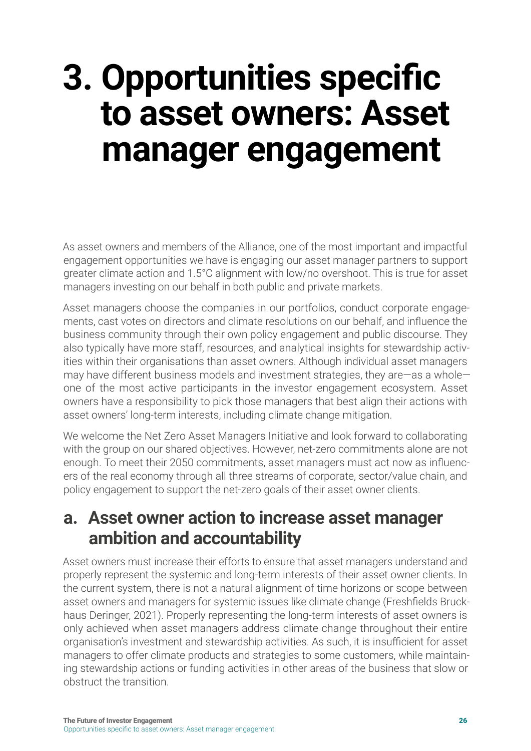## <span id="page-25-0"></span>**3. Opportunities specific to asset owners: Asset manager engagement**

As asset owners and members of the Alliance, one of the most important and impactful engagement opportunities we have is engaging our asset manager partners to support greater climate action and 1.5°C alignment with low/no overshoot. This is true for asset managers investing on our behalf in both public and private markets.

Asset managers choose the companies in our portfolios, conduct corporate engagements, cast votes on directors and climate resolutions on our behalf, and influence the business community through their own policy engagement and public discourse. They also typically have more staff, resources, and analytical insights for stewardship activities within their organisations than asset owners. Although individual asset managers may have different business models and investment strategies, they are—as a whole one of the most active participants in the investor engagement ecosystem. Asset owners have a responsibility to pick those managers that best align their actions with asset owners' long-term interests, including climate change mitigation.

We welcome the Net Zero Asset Managers Initiative and look forward to collaborating with the group on our shared objectives. However, net-zero commitments alone are not enough. To meet their 2050 commitments, asset managers must act now as influencers of the real economy through all three streams of corporate, sector/value chain, and policy engagement to support the net-zero goals of their asset owner clients.

### **a. Asset owner action to increase asset manager ambition and accountability**

Asset owners must increase their efforts to ensure that asset managers understand and properly represent the systemic and long-term interests of their asset owner clients. In the current system, there is not a natural alignment of time horizons or scope between asset owners and managers for systemic issues like climate change (Freshfields Bruckhaus Deringer, 2021). Properly representing the long-term interests of asset owners is only achieved when asset managers address climate change throughout their entire organisation's investment and stewardship activities. As such, it is insufficient for asset managers to offer climate products and strategies to some customers, while maintaining stewardship actions or funding activities in other areas of the business that slow or obstruct the transition.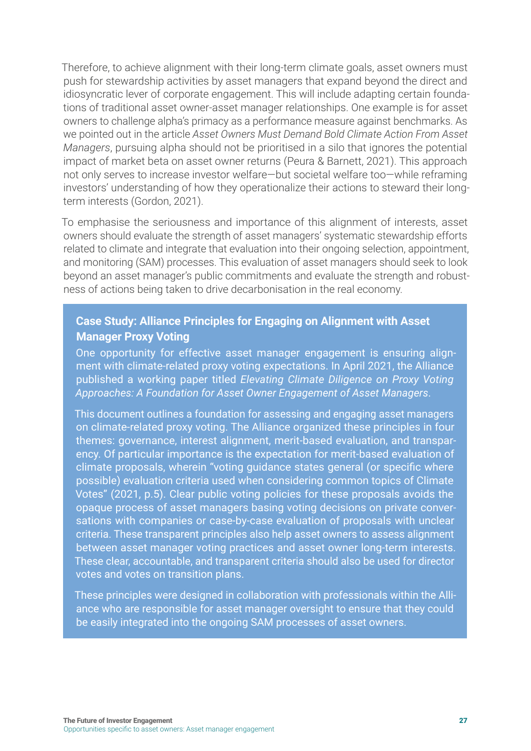Therefore, to achieve alignment with their long-term climate goals, asset owners must push for stewardship activities by asset managers that expand beyond the direct and idiosyncratic lever of corporate engagement. This will include adapting certain foundations of traditional asset owner-asset manager relationships. One example is for asset owners to challenge alpha's primacy as a performance measure against benchmarks. As we pointed out in the article *Asset Owners Must Demand Bold Climate Action From Asset Managers*, pursuing alpha should not be prioritised in a silo that ignores the potential impact of market beta on asset owner returns (Peura & Barnett, 2021). This approach not only serves to increase investor welfare—but societal welfare too—while reframing investors' understanding of how they operationalize their actions to steward their longterm interests (Gordon, 2021).

To emphasise the seriousness and importance of this alignment of interests, asset owners should evaluate the strength of asset managers' systematic stewardship efforts related to climate and integrate that evaluation into their ongoing selection, appointment, and monitoring (SAM) processes. This evaluation of asset managers should seek to look beyond an asset manager's public commitments and evaluate the strength and robustness of actions being taken to drive decarbonisation in the real economy.

#### **Case Study: Alliance Principles for Engaging on Alignment with Asset Manager Proxy Voting**

One opportunity for effective asset manager engagement is ensuring alignment with climate-related proxy voting expectations. In April 2021, the Alliance published a working paper titled *Elevating Climate Diligence on Proxy Voting Approaches: A Foundation for Asset Owner Engagement of Asset Managers*.

This document outlines a foundation for assessing and engaging asset managers on climate-related proxy voting. The Alliance organized these principles in four themes: governance, interest alignment, merit-based evaluation, and transparency. Of particular importance is the expectation for merit-based evaluation of climate proposals, wherein "voting guidance states general (or specific where possible) evaluation criteria used when considering common topics of Climate Votes" (2021, p.5). Clear public voting policies for these proposals avoids the opaque process of asset managers basing voting decisions on private conversations with companies or case-by-case evaluation of proposals with unclear criteria. These transparent principles also help asset owners to assess alignment between asset manager voting practices and asset owner long-term interests. These clear, accountable, and transparent criteria should also be used for director votes and votes on transition plans.

These principles were designed in collaboration with professionals within the Alliance who are responsible for asset manager oversight to ensure that they could be easily integrated into the ongoing SAM processes of asset owners.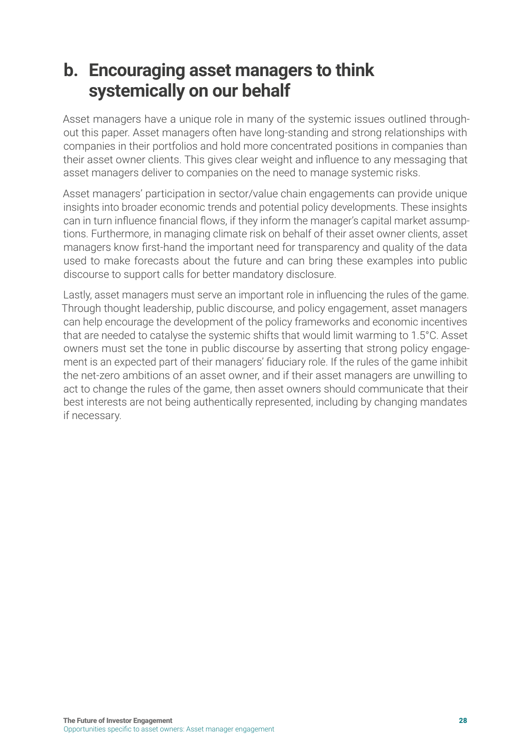### <span id="page-27-0"></span>**b. Encouraging asset managers to think systemically on our behalf**

Asset managers have a unique role in many of the systemic issues outlined throughout this paper. Asset managers often have long-standing and strong relationships with companies in their portfolios and hold more concentrated positions in companies than their asset owner clients. This gives clear weight and influence to any messaging that asset managers deliver to companies on the need to manage systemic risks.

Asset managers' participation in sector/value chain engagements can provide unique insights into broader economic trends and potential policy developments. These insights can in turn influence financial flows, if they inform the manager's capital market assumptions. Furthermore, in managing climate risk on behalf of their asset owner clients, asset managers know first-hand the important need for transparency and quality of the data used to make forecasts about the future and can bring these examples into public discourse to support calls for better mandatory disclosure.

Lastly, asset managers must serve an important role in influencing the rules of the game. Through thought leadership, public discourse, and policy engagement, asset managers can help encourage the development of the policy frameworks and economic incentives that are needed to catalyse the systemic shifts that would limit warming to 1.5°C. Asset owners must set the tone in public discourse by asserting that strong policy engagement is an expected part of their managers' fiduciary role. If the rules of the game inhibit the net-zero ambitions of an asset owner, and if their asset managers are unwilling to act to change the rules of the game, then asset owners should communicate that their best interests are not being authentically represented, including by changing mandates if necessary.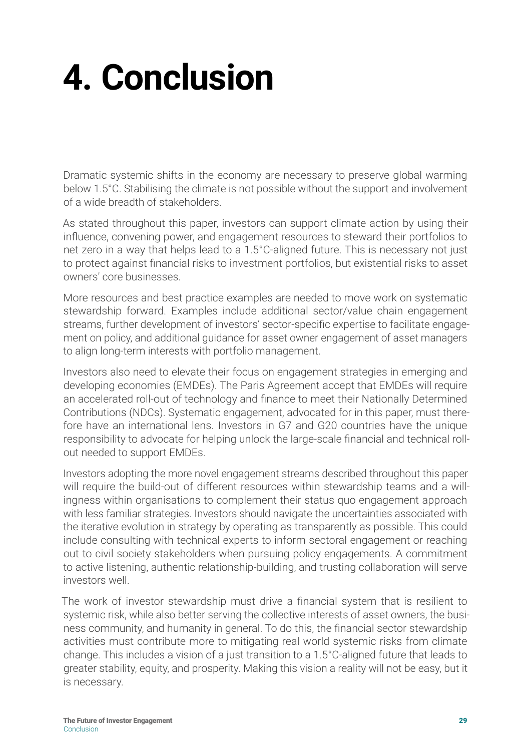## <span id="page-28-0"></span>**4. Conclusion**

Dramatic systemic shifts in the economy are necessary to preserve global warming below 1.5°C. Stabilising the climate is not possible without the support and involvement of a wide breadth of stakeholders.

As stated throughout this paper, investors can support climate action by using their influence, convening power, and engagement resources to steward their portfolios to net zero in a way that helps lead to a 1.5°C-aligned future. This is necessary not just to protect against financial risks to investment portfolios, but existential risks to asset owners' core businesses.

More resources and best practice examples are needed to move work on systematic stewardship forward. Examples include additional sector/value chain engagement streams, further development of investors' sector-specific expertise to facilitate engagement on policy, and additional guidance for asset owner engagement of asset managers to align long-term interests with portfolio management.

Investors also need to elevate their focus on engagement strategies in emerging and developing economies (EMDEs). The Paris Agreement accept that EMDEs will require an accelerated roll-out of technology and finance to meet their Nationally Determined Contributions (NDCs). Systematic engagement, advocated for in this paper, must therefore have an international lens. Investors in G7 and G20 countries have the unique responsibility to advocate for helping unlock the large-scale financial and technical rollout needed to support EMDEs.

Investors adopting the more novel engagement streams described throughout this paper will require the build-out of different resources within stewardship teams and a willingness within organisations to complement their status quo engagement approach with less familiar strategies. Investors should navigate the uncertainties associated with the iterative evolution in strategy by operating as transparently as possible. This could include consulting with technical experts to inform sectoral engagement or reaching out to civil society stakeholders when pursuing policy engagements. A commitment to active listening, authentic relationship-building, and trusting collaboration will serve investors well.

The work of investor stewardship must drive a financial system that is resilient to systemic risk, while also better serving the collective interests of asset owners, the business community, and humanity in general. To do this, the financial sector stewardship activities must contribute more to mitigating real world systemic risks from climate change. This includes a vision of a just transition to a 1.5°C-aligned future that leads to greater stability, equity, and prosperity. Making this vision a reality will not be easy, but it is necessary.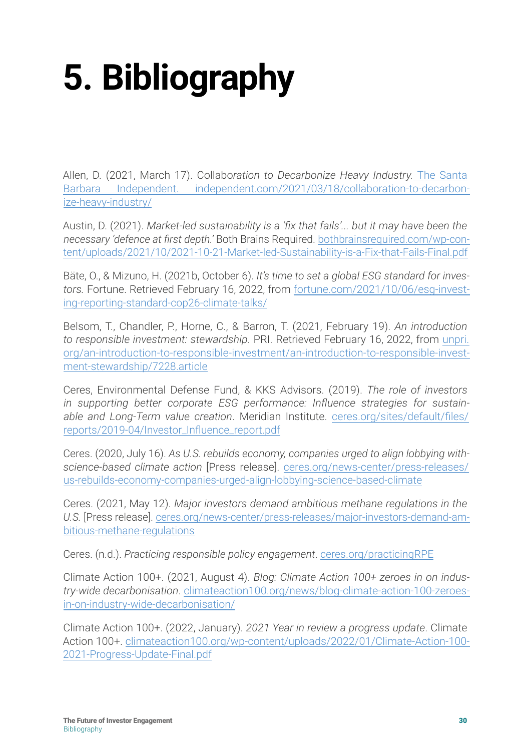# <span id="page-29-0"></span>**5. Bibliography**

Allen, D. (2021, March 17). Collabo*ration to Decarbonize Heavy Industry.* The Santa Barbara Independent. [independent.com/2021/03/18/collaboration-to-decarbon](https://www.independent.com/2021/03/18/collaboration-to-decarbonize-heavy-industry/)[ize-heavy-industry/](https://www.independent.com/2021/03/18/collaboration-to-decarbonize-heavy-industry/)

Austin, D. (2021). *Market-led sustainability is a 'fix that fails'... but it may have been the necessary 'defence at first depth.'* Both Brains Required. [bothbrainsrequired.com/wp-con](https://bothbrainsrequired.com/wp-content/uploads/2021/10/2021-10-21-Market-led-Sustainability-is-a-Fix-that-Fails-Final.pdf)[tent/uploads/2021/10/2021-10-21-Market-led-Sustainability-is-a-Fix-that-Fails-Final.pdf](https://bothbrainsrequired.com/wp-content/uploads/2021/10/2021-10-21-Market-led-Sustainability-is-a-Fix-that-Fails-Final.pdf)

Bäte, O., & Mizuno, H. (2021b, October 6). *It's time to set a global ESG standard for investors.* Fortune. Retrieved February 16, 2022, from [fortune.com/2021/10/06/esg-invest](https://fortune.com/2021/10/06/esg-investing-reporting-standard-cop26-climate-talks/)[ing-reporting-standard-cop26-climate-talks/](https://fortune.com/2021/10/06/esg-investing-reporting-standard-cop26-climate-talks/)

Belsom, T., Chandler, P., Horne, C., & Barron, T. (2021, February 19). *An introduction to responsible investment: stewardship.* PRI. Retrieved February 16, 2022, from [unpri.](https://www.unpri.org/an-introduction-to-responsible-investment/an-introduction-to-responsible-investment-stewardship/7228.article) [org/an-introduction-to-responsible-investment/an-introduction-to-responsible-invest](https://www.unpri.org/an-introduction-to-responsible-investment/an-introduction-to-responsible-investment-stewardship/7228.article)[ment-stewardship/7228.article](https://www.unpri.org/an-introduction-to-responsible-investment/an-introduction-to-responsible-investment-stewardship/7228.article)

Ceres, Environmental Defense Fund, & KKS Advisors. (2019). *The role of investors in supporting better corporate ESG performance: Influence strategies for sustainable and Long-Term value creation*. Meridian Institute. [ceres.org/sites/default/files/](https://www.ceres.org/sites/default/files/reports/2019-04/Investor_Influence_report.pdf) [reports/2019-04/Investor\\_Influence\\_report.pdf](https://www.ceres.org/sites/default/files/reports/2019-04/Investor_Influence_report.pdf)

Ceres. (2020, July 16). *As U.S. rebuilds economy, companies urged to align lobbying withscience-based climate action* [Press release]. [ceres.org/news-center/press-releases/](ceres.org/news-center/press-releases/us-rebuilds-economy-companies-urged-align-lobbying-science-based-climate) [us-](ceres.org/news-center/press-releases/us-rebuilds-economy-companies-urged-align-lobbying-science-based-climate)rebuilds-economy-companies-urged-align-lobbying-science-based-climate

Ceres. (2021, May 12). *Major investors demand ambitious methane regulations in the U.S.* [Press release]. [ceres.org/news-center/press-releases/major-investors-demand-am](https://www.ceres.org/news-center/press-releases/major-investors-demand-ambitious-methane-regulations)[bitious-methane-regulations](https://www.ceres.org/news-center/press-releases/major-investors-demand-ambitious-methane-regulations)

Ceres. (n.d.). *Practicing responsible policy engagement*. [ceres.org/practicingRPE](https://www.ceres.org/practicingRPE)

Climate Action 100+. (2021, August 4). *Blog: Climate Action 100+ zeroes in on industry-wide decarbonisation*. [climateaction100.org/news/blog-climate-action-100-zeroes](https://www.climateaction100.org/news/blog-climate-action-100-zeroes-in-on-industry-wide-decarbonisation/)[in-on-industry-wide-decarbonisation/](https://www.climateaction100.org/news/blog-climate-action-100-zeroes-in-on-industry-wide-decarbonisation/)

Climate Action 100+. (2022, January). *2021 Year in review a progress update*. Climate Action 100+. [climateaction100.org/wp-content/uploads/2022/01/Climate-Action-100-](https://www.climateaction100.org/wp-content/uploads/2022/01/Climate-Action-100-2021-Progress-Update-Final.pdf) [2021-Progress-Update-Final.pdf](https://www.climateaction100.org/wp-content/uploads/2022/01/Climate-Action-100-2021-Progress-Update-Final.pdf)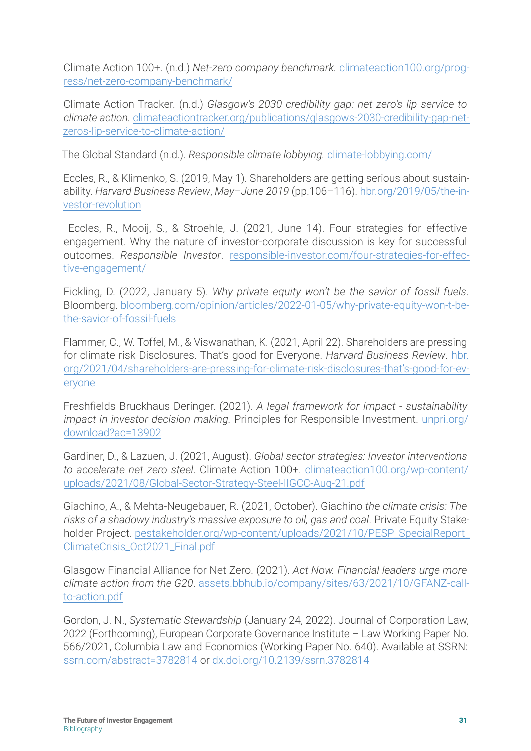Climate Action 100+. (n.d.) *Net-zero company benchmark.* [climateaction100.org/prog](https://www.climateaction100.org/progress/net-zero-company-benchmark/)[ress/net-zero-company-benchmark/](https://www.climateaction100.org/progress/net-zero-company-benchmark/)

Climate Action Tracker. (n.d.) *Glasgow's 2030 credibility gap: net zero's lip service to climate action.* [climateactiontracker.org/publications/glasgows-2030-credibility-gap-net](https://climateactiontracker.org/publications/glasgows-2030-credibility-gap-net-zeros-lip-service-to-climate-action/)[zeros-lip-service-to-climate-action/](https://climateactiontracker.org/publications/glasgows-2030-credibility-gap-net-zeros-lip-service-to-climate-action/)

The Global Standard (n.d.). *Responsible climate lobbying.* [climate-lobbying.com/](https://climate-lobbying.com/)

Eccles, R., & Klimenko, S. (2019, May 1). Shareholders are getting serious about sustainability. *Harvard Business Review*, *May–June 2019* (pp.106–116). [hbr.org/2019/05/the-in](https://hbr.org/2019/05/the-investor-revolution)[vestor-revolution](https://hbr.org/2019/05/the-investor-revolution)

 Eccles, R., Mooij, S., & Stroehle, J. (2021, June 14). Four strategies for effective engagement. Why the nature of investor-corporate discussion is key for successful outcomes. *Responsible Investor*. [responsible-investor.com/four-strategies-for-effec](https://www.responsible-investor.com/four-strategies-for-effective-engagement/)[tive-engagement/](https://www.responsible-investor.com/four-strategies-for-effective-engagement/)

Fickling, D. (2022, January 5). *Why private equity won't be the savior of fossil fuels*. Bloomberg. [bloomberg.com/opinion/articles/2022-01-05/why-private-equity-won-t-be](https://www.bloomberg.com/opinion/articles/2022-01-05/why-private-equity-won-t-be-the-savior-of-fossil-fuels)[the-savior-of-fossil-fuels](https://www.bloomberg.com/opinion/articles/2022-01-05/why-private-equity-won-t-be-the-savior-of-fossil-fuels)

Flammer, C., W. Toffel, M., & Viswanathan, K. (2021, April 22). Shareholders are pressing for climate risk Disclosures. That's good for Everyone. *Harvard Business Review*. [hbr.](https://hbr.org/2021/04/shareholders-are-pressing-for-climate-risk-disclosures-that’s-good-for-everyone) [org/2021/04/shareholders-are-pressing-for-climate-risk-disclosures-that's-good-for-ev](https://hbr.org/2021/04/shareholders-are-pressing-for-climate-risk-disclosures-that’s-good-for-everyone)[eryone](https://hbr.org/2021/04/shareholders-are-pressing-for-climate-risk-disclosures-that’s-good-for-everyone)

Freshfields Bruckhaus Deringer. (2021). *A legal framework for impact - sustainability impact in investor decision making.* Principles for Responsible Investment. [unpri.org/](https://www.unpri.org/download?ac=13902) [download?ac=13902](https://www.unpri.org/download?ac=13902)

Gardiner, D., & Lazuen, J. (2021, August). *Global sector strategies: Investor interventions to accelerate net zero steel*. Climate Action 100+. [climateaction100.org/wp-](climateaction100.org/wp-content/uploads/2021/08/Global-Sector-Strategy-Steel-IIGCC-Aug-21.pdf)content/ uploads/2021/08/Global-Sector-Strategy-Steel-IIGCC-Aug-21.pdf

Giachino, A., & Mehta-Neugebauer, R. (2021, October). Giachino *the climate crisis: The risks of a shadowy industry's massive exposure to oil, gas and coal*. Private Equity Stakeholder Project. [pestakeholder.org/wp-content/uploads/2021/10/PESP\\_SpecialReport\\_](https://pestakeholder.org/wp-content/uploads/2021/10/PESP_SpecialReport_ClimateCrisis_Oct2021_Final.pdf) [ClimateCrisis\\_Oct2021\\_Final.pdf](https://pestakeholder.org/wp-content/uploads/2021/10/PESP_SpecialReport_ClimateCrisis_Oct2021_Final.pdf)

Glasgow Financial Alliance for Net Zero. (2021). *Act Now. Financial leaders urge more climate action from the G20*. [assets.bbhub.io/company/sites/63/2021/10/GFANZ-call](https://www.assets.bbhub.io/company/sites/63/2021/10/GFANZ-call-to-action.pdf)[to-action.pdf](https://www.assets.bbhub.io/company/sites/63/2021/10/GFANZ-call-to-action.pdf)

Gordon, J. N., *Systematic Stewardship* (January 24, 2022). Journal of Corporation Law, 2022 (Forthcoming), European Corporate Governance Institute – Law Working Paper No. 566/2021, Columbia Law and Economics (Working Paper No. 640). Available at SSRN: [ssrn.com/abstract=3782814](http://www.ssrn.com/abstract=3782814) or [dx.doi.org/10.2139/ssrn.3782814](http://www.dx.doi.org/10.2139/ssrn.3782814)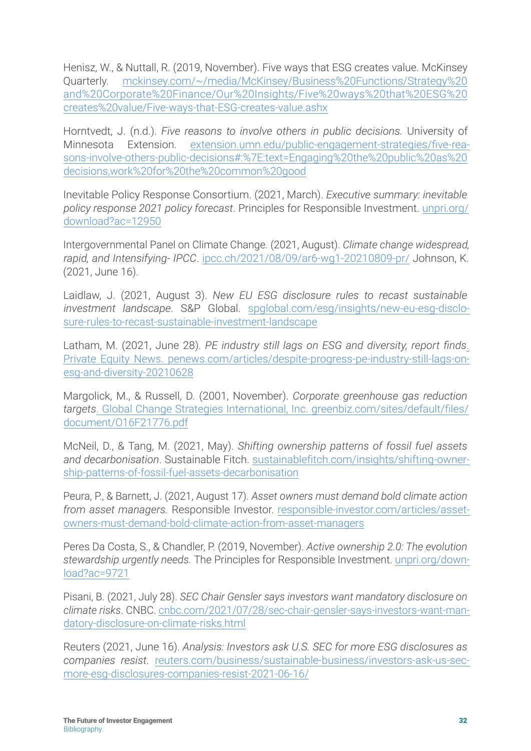Henisz, W., & Nuttall, R. (2019, November). Five ways that ESG creates value. McKinsey Quarterly. [mckinsey.com/~/media/McKinsey/Business%20Functions/Strategy%20](https://www.mckinsey.com/~/media/McKinsey/Business%20Functions/Strategy%20and%20Corporate%20Finance/Our%20Insights/Five%20ways%20that%20ESG%20creates%20value/Five-ways-that-ESG-creates-value.ashx) [and%20Corporate%20Finance/Our%20Insights/Five%20ways%20that%20ESG%20](https://www.mckinsey.com/~/media/McKinsey/Business%20Functions/Strategy%20and%20Corporate%20Finance/Our%20Insights/Five%20ways%20that%20ESG%20creates%20value/Five-ways-that-ESG-creates-value.ashx) [creates%20value/Five-ways-that-ESG-creates-value.ashx](https://www.mckinsey.com/~/media/McKinsey/Business%20Functions/Strategy%20and%20Corporate%20Finance/Our%20Insights/Five%20ways%20that%20ESG%20creates%20value/Five-ways-that-ESG-creates-value.ashx)

Horntvedt, J. (n.d.). *Five reasons to involve others in public decisions.* University of Minnesota Extension. [extension.umn.edu/public-engagement-strategies/five-rea](extension.umn.edu/public-engagement-strategies/five-reasons-involve-others-public-decisions#:%7E:text=Engaging%20the%20public%20as%20decisions,work%20for%20the%20common%20good)[sons-involve-others-public-d](extension.umn.edu/public-engagement-strategies/five-reasons-involve-others-public-decisions#:%7E:text=Engaging%20the%20public%20as%20decisions,work%20for%20the%20common%20good)ecisions#:%7E:text=Engaging%20the%20public%20as%20 decisions,work%20for%20the%20common%20good

Inevitable Policy Response Consortium. (2021, March). *Executive summary: inevitable policy response 2021 policy forecast*. Principles for Responsible Investment. [unpri.org/](https://www.unpri.org/download?ac=12950) [download?ac=12950](https://www.unpri.org/download?ac=12950)

Intergovernmental Panel on Climate Change. (2021, August). *Climate change widespread, rapid, and Intensifying- IPCC*. [ipcc.ch/2021/08/09/ar6-wg1-20210809-pr/](https://www.ipcc.ch/2021/08/09/ar6-wg1-20210809-pr/) Johnson, K. (2021, June 16).

Laidlaw, J. (2021, August 3). *New EU ESG disclosure rules to recast sustainable investment landscape*. S&P Global. [spglobal.com/esg/insights/new-eu-esg-disclo](https://www.spglobal.com/esg/insights/new-eu-esg-disclosure-rules-to-recast-sustainable-investment-landscape)[sure-rules-to-recast-sustainable-investment-landscape](https://www.spglobal.com/esg/insights/new-eu-esg-disclosure-rules-to-recast-sustainable-investment-landscape)

Latham, M. (2021, June 28). *PE industry still lags on ESG and diversity, report finds*. Private Equity News. [penews.com/articles/despite-progress-pe-industry-still-lags-on](https://www.penews.com/articles/despite-progress-pe-industry-still-lags-on-esg-and-diversity-20210628)[esg-and-diversity-20210628](https://www.penews.com/articles/despite-progress-pe-industry-still-lags-on-esg-and-diversity-20210628)

Margolick, M., & Russell, D. (2001, November). *Corporate greenhouse gas reduction targets*. Global Change Strategies International, Inc. [greenbiz.com/sites/default/files/](https://www.greenbiz.com/sites/default/files/document/O16F21776.pdf) [document/O16F21776.pdf](https://www.greenbiz.com/sites/default/files/document/O16F21776.pdf)

McNeil, D., & Tang, M. (2021, May). *Shifting ownership patterns of fossil fuel assets and decarbonisation*. Sustainable Fitch. [sustainablefitch.com/insights/shifting-owner](https://www.sustainablefitch.com/insights/shifting-ownership-patterns-of-fossil-fuel-assets-decarbonisation)[ship-patterns-of-fossil-fuel-assets-decarbonisation](https://www.sustainablefitch.com/insights/shifting-ownership-patterns-of-fossil-fuel-assets-decarbonisation)

Peura, P., & Barnett, J. (2021, August 17). *Asset owners must demand bold climate action from asset managers.* Responsible Investor. [responsible-investor.com/articles/asset](https://www.responsible-investor.com/articles/asset-owners-must-demand-bold-climate-action-from-asset-managers)[owners-must-demand-bold-climate-action-from-asset-managers](https://www.responsible-investor.com/articles/asset-owners-must-demand-bold-climate-action-from-asset-managers)

Peres Da Costa, S., & Chandler, P. (2019, November). *Active ownership 2.0: The evolution stewardship urgently needs.* The Principles for Responsible Investment. [unpri.org/down](https://www.unpri.org/download?ac=9721)[load?ac=9721](https://www.unpri.org/download?ac=9721)

Pisani, B. (2021, July 28). *SEC Chair Gensler says investors want mandatory disclosure on climate risks*. CNBC. [cnbc.com/2021/07/28/sec-chair-gensler-says-investors-want-man](https://www.cnbc.com/2021/07/28/sec-chair-gensler-says-investors-want-mandatory-disclosure-on-climate-risks.html)[datory-disclosure-on-climate-risks.html](https://www.cnbc.com/2021/07/28/sec-chair-gensler-says-investors-want-mandatory-disclosure-on-climate-risks.html)

Reuters (2021, June 16). *Analysis: Investors ask U.S. SEC for more ESG disclosures as companies resist*. [reuters.com/business/sustainable-business/investors-ask-us-sec](https://www.reuters.com/business/sustainable-business/investors-ask-us-sec-more-esg-disclosures-companies-resist-2021-06-16/)[more-esg-disclosures-companies-resist-2021-06-16/](https://www.reuters.com/business/sustainable-business/investors-ask-us-sec-more-esg-disclosures-companies-resist-2021-06-16/)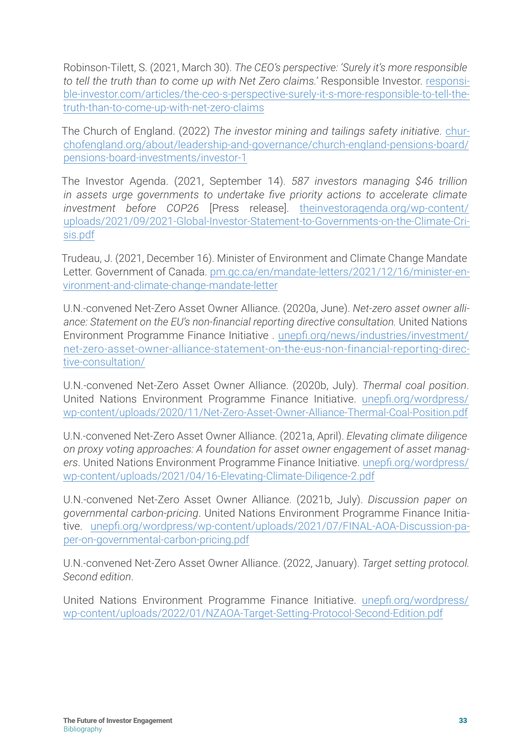Robinson-Tilett, S. (2021, March 30). *The CEO's perspective: 'Surely it's more responsible to tell the truth than to come up with Net Zero claims.'* Responsible Investor. [responsi](https://www.responsible-investor.com/articles/the-ceo-s-perspective-surely-it-s-more-responsible-to-tell-the-truth-than-to-come-up-with-net-zero-claims)[ble-investor.com/articles/the-ceo-s-perspective-surely-it-s-more-responsible-to-tell-the](https://www.responsible-investor.com/articles/the-ceo-s-perspective-surely-it-s-more-responsible-to-tell-the-truth-than-to-come-up-with-net-zero-claims)[truth-than-to-come-up-with-net-zero-claims](https://www.responsible-investor.com/articles/the-ceo-s-perspective-surely-it-s-more-responsible-to-tell-the-truth-than-to-come-up-with-net-zero-claims)

The Church of England. (2022) *The investor mining and tailings safety initiative*. [chur](https://www.churchofengland.org/about/leadership-and-governance/church-england-pensions-board/pensions-board-investments/investor-1)[chofengland.org/about/leadership-and-governance/church-england-pensions-board/](https://www.churchofengland.org/about/leadership-and-governance/church-england-pensions-board/pensions-board-investments/investor-1) [pensions-board-investments/investor-1](https://www.churchofengland.org/about/leadership-and-governance/church-england-pensions-board/pensions-board-investments/investor-1)

The Investor Agenda. (2021, September 14). *587 investors managing \$46 trillion in assets urge governments to undertake five priority actions to accelerate climate investment before COP26* [Press release]. [theinvestoragenda.org/wp-content/](https://theinvestoragenda.org/wp-content/uploads/2021/09/2021-Global-Investor-Statement-to-Governments-on-the-Climate-Crisis.pdf) [uploads/2021/09/2021-Global-Investor-Statement-to-Governments-on-the-Climate-Cri](https://theinvestoragenda.org/wp-content/uploads/2021/09/2021-Global-Investor-Statement-to-Governments-on-the-Climate-Crisis.pdf)[sis.pdf](https://theinvestoragenda.org/wp-content/uploads/2021/09/2021-Global-Investor-Statement-to-Governments-on-the-Climate-Crisis.pdf)

Trudeau, J. (2021, December 16). Minister of Environment and Climate Change Mandate Letter. Government of Canada. [pm.gc.ca/en/mandate-letters/2021/12/16/minister-en](https://pm.gc.ca/en/mandate-letters/2021/12/16/minister-environment-and-climate-change-mandate-letter)[vironment-and-climate-change-mandate-letter](https://pm.gc.ca/en/mandate-letters/2021/12/16/minister-environment-and-climate-change-mandate-letter)

U.N.-convened Net-Zero Asset Owner Alliance. (2020a, June). *Net-zero asset owner alliance: Statement on the EU's non-financial reporting directive consultation.* United Nations Environment Programme Finance Initiative . [unepfi.org/news/industries/investment/](https://www.unepfi.org/news/industries/investment/net-zero-asset-owner-alliance-statement-on-the-eus-non-financial-reporting-directive-consultation/) [net-zero-asset-owner-alliance-statement-on-the-eus-non-financial-reporting-direc](https://www.unepfi.org/news/industries/investment/net-zero-asset-owner-alliance-statement-on-the-eus-non-financial-reporting-directive-consultation/)[tive-consultation/](https://www.unepfi.org/news/industries/investment/net-zero-asset-owner-alliance-statement-on-the-eus-non-financial-reporting-directive-consultation/)

U.N.-convened Net-Zero Asset Owner Alliance. (2020b, July). *Thermal coal position*. United Nations Environment Programme Finance Initiative. [unepfi.org/wordpress/](unepfi.org/wordpress/wp-content/uploads/2020/11/Net-Zero-Asset-Owner-Alliance-Thermal-Coal-Position.pdf
) [wp-c](unepfi.org/wordpress/wp-content/uploads/2020/11/Net-Zero-Asset-Owner-Alliance-Thermal-Coal-Position.pdf
)ontent/uploads/2020/11/Net-Zero-Asset-Owner-Alliance-Thermal-Coal-Position.pdf

U.N.-convened Net-Zero Asset Owner Alliance. (2021a, April). *Elevating climate diligence on proxy voting approaches: A foundation for asset owner engagement of asset managers*. United Nations Environment Programme Finance Initiative. [unepfi.org/wordpress/](https://www.unepfi.org/wordpress/wp-content/uploads/2021/04/16-Elevating-Climate-Diligence-2.pdf) [wp-content/uploads/2021/04/16-Elevating-Climate-Diligence-2.pdf](https://www.unepfi.org/wordpress/wp-content/uploads/2021/04/16-Elevating-Climate-Diligence-2.pdf)

U.N.-convened Net-Zero Asset Owner Alliance. (2021b, July). *Discussion paper on governmental carbon-pricing*. United Nations Environment Programme Finance Initiative. [unepfi.org/wordpress/wp-content/uploads/2021/07/FINAL-AOA-Discussion-pa](https://www.unepfi.org/wordpress/wp-content/uploads/2021/07/FINAL-AOA-Discussion-paper-on-governmental-carbon-pricing.pdf)[per-on-governmental-carbon-pricing.pdf](https://www.unepfi.org/wordpress/wp-content/uploads/2021/07/FINAL-AOA-Discussion-paper-on-governmental-carbon-pricing.pdf)

U.N.-convened Net-Zero Asset Owner Alliance. (2022, January). *Target setting protocol. Second edition*.

United Nations Environment Programme Finance Initiative. [unepfi.org/wordpress/](https://www.unepfi.org/wordpress/wp-content/uploads/2022/01/NZAOA-Target-Setting-Protocol-Second-Edition.pdf) [wp-content/uploads/2022/01/NZAOA-Target-Setting-Protocol-Second-Edition.pdf](https://www.unepfi.org/wordpress/wp-content/uploads/2022/01/NZAOA-Target-Setting-Protocol-Second-Edition.pdf)